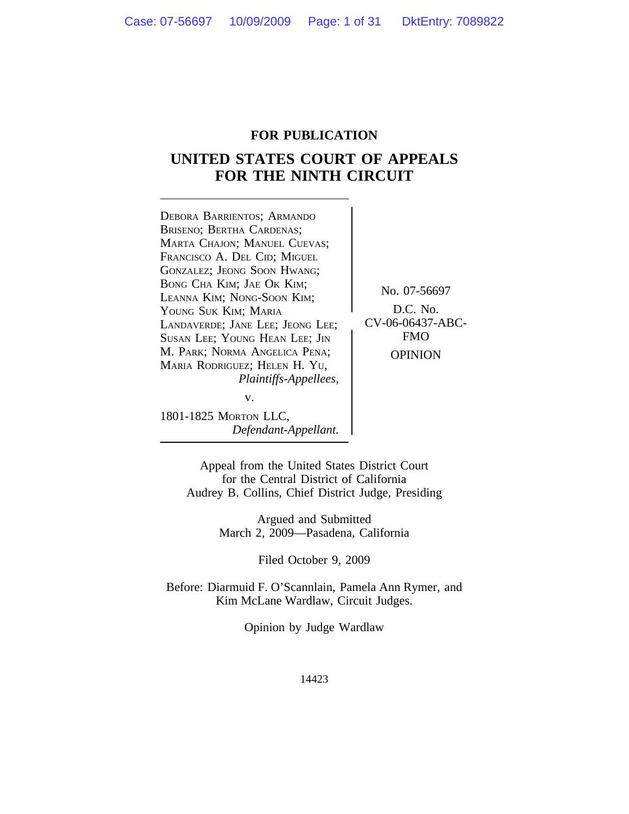#### **FOR PUBLICATION**

## **UNITED STATES COURT OF APPEALS FOR THE NINTH CIRCUIT**

<sup>D</sup>EBORA BARRIENTOS; ARMANDO BRISENO; BERTHA CARDENAS; MARTA CHAJON; MANUEL CUEVAS; FRANCISCO A. DEL CID; MIGUEL GONZALEZ; JEONG SOON HWANG; BONG CHA KIM; JAE OK KIM; No. 07-56697<br>LEANNA KIM; NONG-SOON KIM;<br>YOUNG SUK KIM: MARIA D.C. No. YOUNG SUK KIM; MARIA<br>LANDAVERDE: JANE LEE: JEONG LEE: \ CV-06-06437-ABC-LANDAVERDE; JANE LEE; JEONG LEE; CV-06-06437<br>SUSAN LEE: YOUNG HEAN LEE: IIN FMO SUSAN LEE; YOUNG HEAN LEE; JIN M. PARK; NORMA ANGELICA PENA; OPINION MARIA RODRIGUEZ; HELEN H. YU, *Plaintiffs-Appellees,* v.

1801-1825 MORTON LLC, *Defendant-Appellant.*

Appeal from the United States District Court for the Central District of California Audrey B. Collins, Chief District Judge, Presiding

> Argued and Submitted March 2, 2009—Pasadena, California

> > Filed October 9, 2009

Before: Diarmuid F. O'Scannlain, Pamela Ann Rymer, and Kim McLane Wardlaw, Circuit Judges.

Opinion by Judge Wardlaw

14423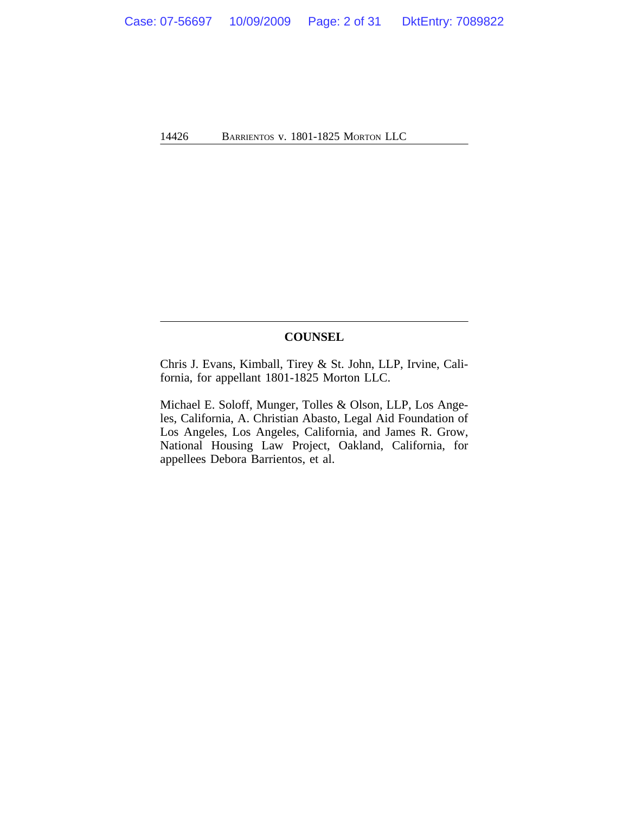#### **COUNSEL**

Chris J. Evans, Kimball, Tirey & St. John, LLP, Irvine, California, for appellant 1801-1825 Morton LLC.

Michael E. Soloff, Munger, Tolles & Olson, LLP, Los Angeles, California, A. Christian Abasto, Legal Aid Foundation of Los Angeles, Los Angeles, California, and James R. Grow, National Housing Law Project, Oakland, California, for appellees Debora Barrientos, et al.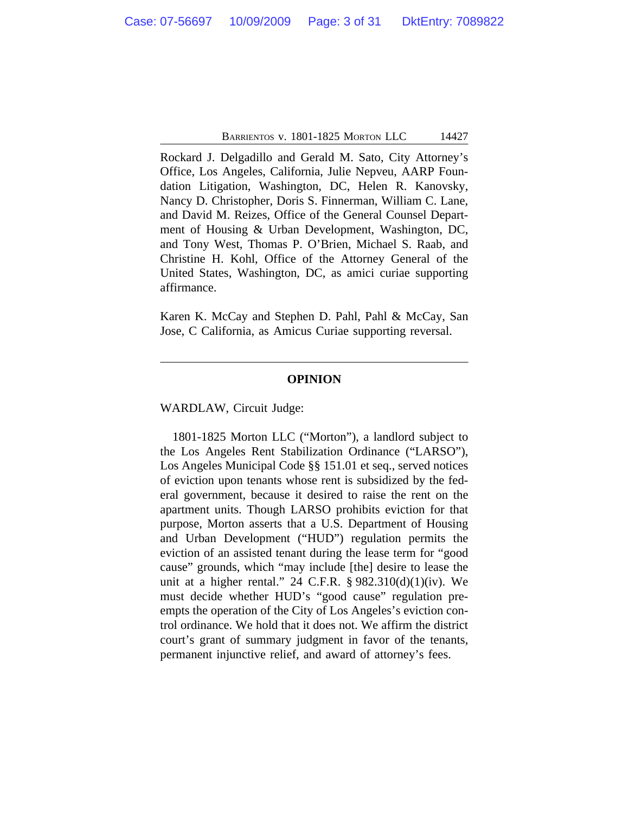Rockard J. Delgadillo and Gerald M. Sato, City Attorney's Office, Los Angeles, California, Julie Nepveu, AARP Foundation Litigation, Washington, DC, Helen R. Kanovsky, Nancy D. Christopher, Doris S. Finnerman, William C. Lane, and David M. Reizes, Office of the General Counsel Department of Housing & Urban Development, Washington, DC, and Tony West, Thomas P. O'Brien, Michael S. Raab, and Christine H. Kohl, Office of the Attorney General of the United States, Washington, DC, as amici curiae supporting affirmance.

Karen K. McCay and Stephen D. Pahl, Pahl & McCay, San Jose, C California, as Amicus Curiae supporting reversal.

#### **OPINION**

WARDLAW, Circuit Judge:

1801-1825 Morton LLC ("Morton"), a landlord subject to the Los Angeles Rent Stabilization Ordinance ("LARSO"), Los Angeles Municipal Code §§ 151.01 et seq., served notices of eviction upon tenants whose rent is subsidized by the federal government, because it desired to raise the rent on the apartment units. Though LARSO prohibits eviction for that purpose, Morton asserts that a U.S. Department of Housing and Urban Development ("HUD") regulation permits the eviction of an assisted tenant during the lease term for "good cause" grounds, which "may include [the] desire to lease the unit at a higher rental." 24 C.F.R.  $\S 982.310(d)(1)(iv)$ . We must decide whether HUD's "good cause" regulation preempts the operation of the City of Los Angeles's eviction control ordinance. We hold that it does not. We affirm the district court's grant of summary judgment in favor of the tenants, permanent injunctive relief, and award of attorney's fees.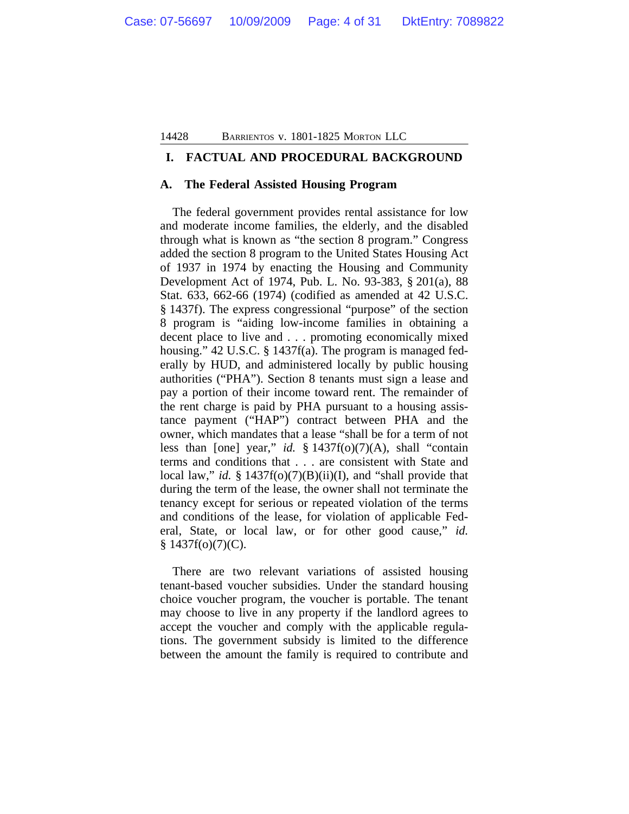#### **I. FACTUAL AND PROCEDURAL BACKGROUND**

#### **A. The Federal Assisted Housing Program**

The federal government provides rental assistance for low and moderate income families, the elderly, and the disabled through what is known as "the section 8 program." Congress added the section 8 program to the United States Housing Act of 1937 in 1974 by enacting the Housing and Community Development Act of 1974, Pub. L. No. 93-383, § 201(a), 88 Stat. 633, 662-66 (1974) (codified as amended at 42 U.S.C. § 1437f). The express congressional "purpose" of the section 8 program is "aiding low-income families in obtaining a decent place to live and . . . promoting economically mixed housing." 42 U.S.C. § 1437f(a). The program is managed federally by HUD, and administered locally by public housing authorities ("PHA"). Section 8 tenants must sign a lease and pay a portion of their income toward rent. The remainder of the rent charge is paid by PHA pursuant to a housing assistance payment ("HAP") contract between PHA and the owner, which mandates that a lease "shall be for a term of not less than [one] year," *id.* § 1437f(o)(7)(A), shall "contain terms and conditions that . . . are consistent with State and local law," *id.* § 1437f(o)(7)(B)(ii)(I), and "shall provide that during the term of the lease, the owner shall not terminate the tenancy except for serious or repeated violation of the terms and conditions of the lease, for violation of applicable Federal, State, or local law, or for other good cause," *id.*  $§ 1437f(o)(7)(C).$ 

There are two relevant variations of assisted housing tenant-based voucher subsidies. Under the standard housing choice voucher program, the voucher is portable. The tenant may choose to live in any property if the landlord agrees to accept the voucher and comply with the applicable regulations. The government subsidy is limited to the difference between the amount the family is required to contribute and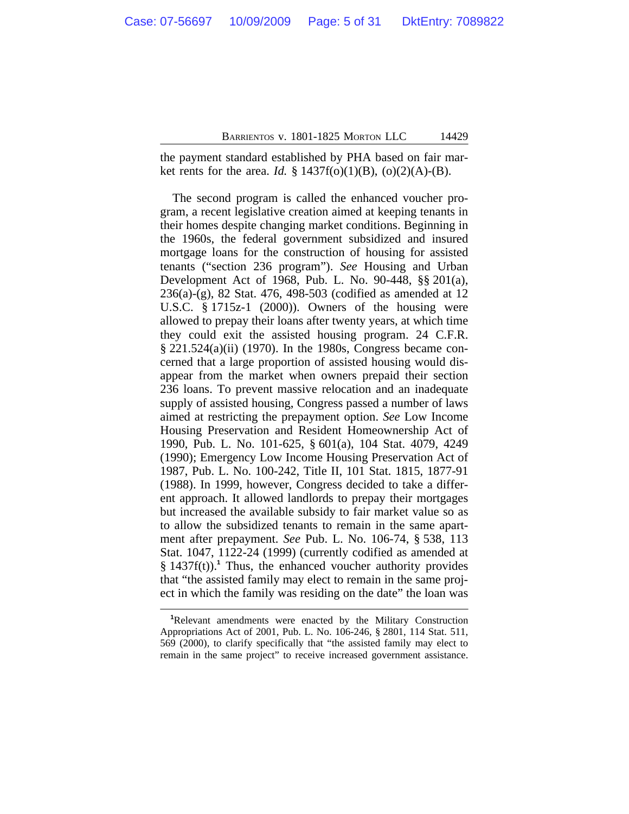the payment standard established by PHA based on fair market rents for the area. *Id.* § 1437f(o)(1)(B), (o)(2)(A)-(B).

The second program is called the enhanced voucher program, a recent legislative creation aimed at keeping tenants in their homes despite changing market conditions. Beginning in the 1960s, the federal government subsidized and insured mortgage loans for the construction of housing for assisted tenants ("section 236 program"). *See* Housing and Urban Development Act of 1968, Pub. L. No. 90-448, §§ 201(a), 236(a)-(g), 82 Stat. 476, 498-503 (codified as amended at 12 U.S.C. § 1715z-1 (2000)). Owners of the housing were allowed to prepay their loans after twenty years, at which time they could exit the assisted housing program. 24 C.F.R. § 221.524(a)(ii) (1970). In the 1980s, Congress became concerned that a large proportion of assisted housing would disappear from the market when owners prepaid their section 236 loans. To prevent massive relocation and an inadequate supply of assisted housing, Congress passed a number of laws aimed at restricting the prepayment option. *See* Low Income Housing Preservation and Resident Homeownership Act of 1990, Pub. L. No. 101-625, § 601(a), 104 Stat. 4079, 4249 (1990); Emergency Low Income Housing Preservation Act of 1987, Pub. L. No. 100-242, Title II, 101 Stat. 1815, 1877-91 (1988). In 1999, however, Congress decided to take a different approach. It allowed landlords to prepay their mortgages but increased the available subsidy to fair market value so as to allow the subsidized tenants to remain in the same apartment after prepayment. *See* Pub. L. No. 106-74, § 538, 113 Stat. 1047, 1122-24 (1999) (currently codified as amended at § 1437f(t)).<sup>1</sup> Thus, the enhanced voucher authority provides that "the assisted family may elect to remain in the same project in which the family was residing on the date" the loan was

**<sup>1</sup>**Relevant amendments were enacted by the Military Construction Appropriations Act of 2001, Pub. L. No. 106-246, § 2801, 114 Stat. 511, 569 (2000), to clarify specifically that "the assisted family may elect to remain in the same project" to receive increased government assistance.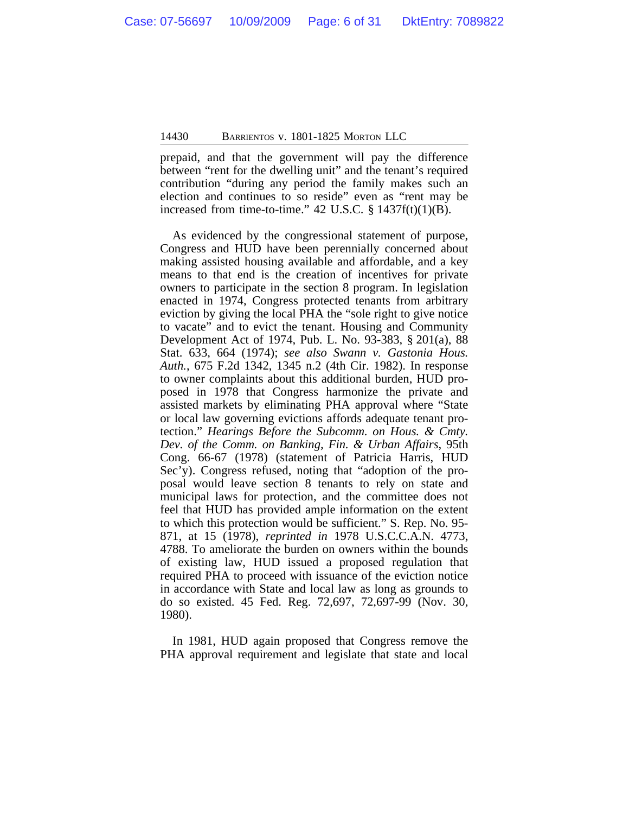prepaid, and that the government will pay the difference between "rent for the dwelling unit" and the tenant's required contribution "during any period the family makes such an election and continues to so reside" even as "rent may be increased from time-to-time."  $42 \text{ U.S.C. }$   $\S$  1437f(t)(1)(B).

As evidenced by the congressional statement of purpose, Congress and HUD have been perennially concerned about making assisted housing available and affordable, and a key means to that end is the creation of incentives for private owners to participate in the section 8 program. In legislation enacted in 1974, Congress protected tenants from arbitrary eviction by giving the local PHA the "sole right to give notice to vacate" and to evict the tenant. Housing and Community Development Act of 1974, Pub. L. No. 93-383, § 201(a), 88 Stat. 633, 664 (1974); *see also Swann v. Gastonia Hous. Auth.*, 675 F.2d 1342, 1345 n.2 (4th Cir. 1982). In response to owner complaints about this additional burden, HUD proposed in 1978 that Congress harmonize the private and assisted markets by eliminating PHA approval where "State or local law governing evictions affords adequate tenant protection." *Hearings Before the Subcomm. on Hous. & Cmty. Dev. of the Comm. on Banking, Fin. & Urban Affairs*, 95th Cong. 66-67 (1978) (statement of Patricia Harris, HUD Sec'y). Congress refused, noting that "adoption of the proposal would leave section 8 tenants to rely on state and municipal laws for protection, and the committee does not feel that HUD has provided ample information on the extent to which this protection would be sufficient." S. Rep. No. 95- 871, at 15 (1978), *reprinted in* 1978 U.S.C.C.A.N. 4773, 4788. To ameliorate the burden on owners within the bounds of existing law, HUD issued a proposed regulation that required PHA to proceed with issuance of the eviction notice in accordance with State and local law as long as grounds to do so existed. 45 Fed. Reg. 72,697, 72,697-99 (Nov. 30, 1980).

In 1981, HUD again proposed that Congress remove the PHA approval requirement and legislate that state and local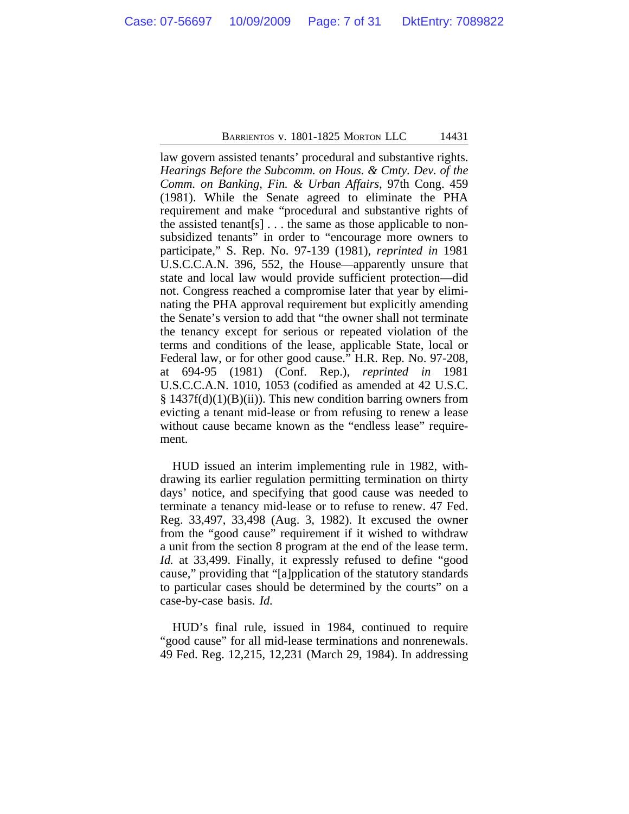law govern assisted tenants' procedural and substantive rights. *Hearings Before the Subcomm. on Hous. & Cmty. Dev. of the Comm. on Banking, Fin. & Urban Affairs*, 97th Cong. 459 (1981). While the Senate agreed to eliminate the PHA requirement and make "procedural and substantive rights of the assisted tenant  $[s]$ ... the same as those applicable to nonsubsidized tenants" in order to "encourage more owners to participate," S. Rep. No. 97-139 (1981), *reprinted in* 1981 U.S.C.C.A.N. 396, 552, the House—apparently unsure that state and local law would provide sufficient protection—did not. Congress reached a compromise later that year by eliminating the PHA approval requirement but explicitly amending the Senate's version to add that "the owner shall not terminate the tenancy except for serious or repeated violation of the terms and conditions of the lease, applicable State, local or Federal law, or for other good cause." H.R. Rep. No. 97-208, at 694-95 (1981) (Conf. Rep.), *reprinted in* 1981 U.S.C.C.A.N. 1010, 1053 (codified as amended at 42 U.S.C.  $\S 1437f(d)(1)(B)(ii)$ . This new condition barring owners from evicting a tenant mid-lease or from refusing to renew a lease without cause became known as the "endless lease" requirement.

HUD issued an interim implementing rule in 1982, withdrawing its earlier regulation permitting termination on thirty days' notice, and specifying that good cause was needed to terminate a tenancy mid-lease or to refuse to renew. 47 Fed. Reg. 33,497, 33,498 (Aug. 3, 1982). It excused the owner from the "good cause" requirement if it wished to withdraw a unit from the section 8 program at the end of the lease term. *Id.* at 33,499. Finally, it expressly refused to define "good cause," providing that "[a]pplication of the statutory standards to particular cases should be determined by the courts" on a case-by-case basis. *Id.*

HUD's final rule, issued in 1984, continued to require "good cause" for all mid-lease terminations and nonrenewals. 49 Fed. Reg. 12,215, 12,231 (March 29, 1984). In addressing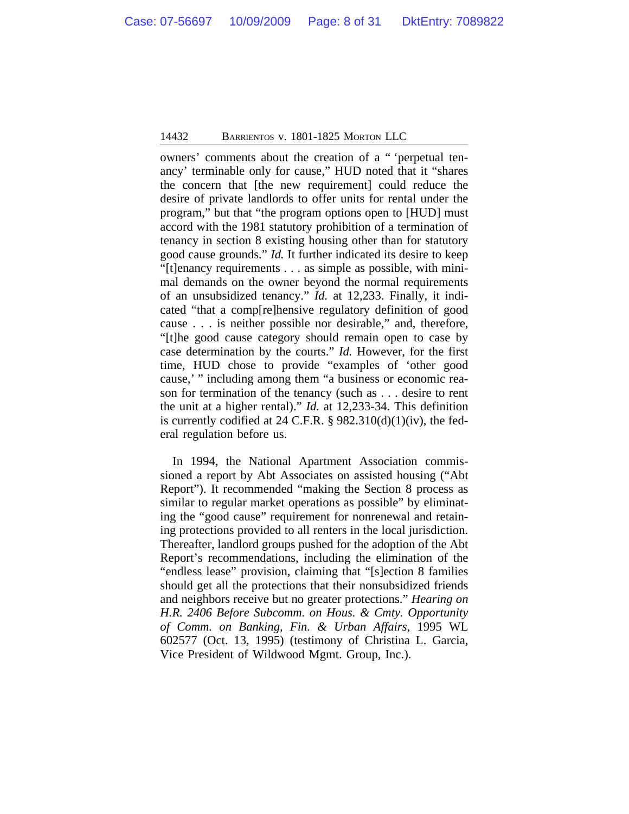owners' comments about the creation of a " 'perpetual tenancy' terminable only for cause," HUD noted that it "shares the concern that [the new requirement] could reduce the desire of private landlords to offer units for rental under the program," but that "the program options open to [HUD] must accord with the 1981 statutory prohibition of a termination of tenancy in section 8 existing housing other than for statutory good cause grounds." *Id.* It further indicated its desire to keep "[t]enancy requirements . . . as simple as possible, with minimal demands on the owner beyond the normal requirements of an unsubsidized tenancy." *Id.* at 12,233. Finally, it indicated "that a comp[re]hensive regulatory definition of good cause . . . is neither possible nor desirable," and, therefore, "[t]he good cause category should remain open to case by case determination by the courts." *Id.* However, for the first time, HUD chose to provide "examples of 'other good cause,' " including among them "a business or economic reason for termination of the tenancy (such as . . . desire to rent the unit at a higher rental)." *Id.* at 12,233-34. This definition is currently codified at 24 C.F.R.  $\S$  982.310(d)(1)(iv), the federal regulation before us.

In 1994, the National Apartment Association commissioned a report by Abt Associates on assisted housing ("Abt Report"). It recommended "making the Section 8 process as similar to regular market operations as possible" by eliminating the "good cause" requirement for nonrenewal and retaining protections provided to all renters in the local jurisdiction. Thereafter, landlord groups pushed for the adoption of the Abt Report's recommendations, including the elimination of the "endless lease" provision, claiming that "[s]ection 8 families should get all the protections that their nonsubsidized friends and neighbors receive but no greater protections." *Hearing on H.R. 2406 Before Subcomm. on Hous. & Cmty. Opportunity of Comm. on Banking, Fin. & Urban Affairs*, 1995 WL 602577 (Oct. 13, 1995) (testimony of Christina L. Garcia, Vice President of Wildwood Mgmt. Group, Inc.).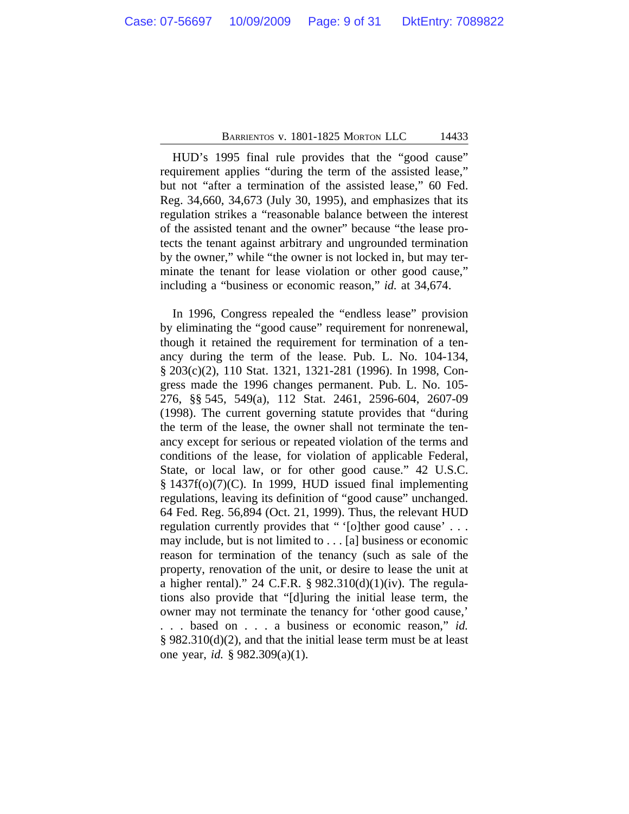HUD's 1995 final rule provides that the "good cause" requirement applies "during the term of the assisted lease," but not "after a termination of the assisted lease," 60 Fed. Reg. 34,660, 34,673 (July 30, 1995), and emphasizes that its regulation strikes a "reasonable balance between the interest of the assisted tenant and the owner" because "the lease protects the tenant against arbitrary and ungrounded termination by the owner," while "the owner is not locked in, but may terminate the tenant for lease violation or other good cause," including a "business or economic reason," *id.* at 34,674.

In 1996, Congress repealed the "endless lease" provision by eliminating the "good cause" requirement for nonrenewal, though it retained the requirement for termination of a tenancy during the term of the lease. Pub. L. No. 104-134, § 203(c)(2), 110 Stat. 1321, 1321-281 (1996). In 1998, Congress made the 1996 changes permanent. Pub. L. No. 105- 276, §§ 545, 549(a), 112 Stat. 2461, 2596-604, 2607-09 (1998). The current governing statute provides that "during the term of the lease, the owner shall not terminate the tenancy except for serious or repeated violation of the terms and conditions of the lease, for violation of applicable Federal, State, or local law, or for other good cause." 42 U.S.C. § 1437f(o)(7)(C). In 1999, HUD issued final implementing regulations, leaving its definition of "good cause" unchanged. 64 Fed. Reg. 56,894 (Oct. 21, 1999). Thus, the relevant HUD regulation currently provides that " '[o]ther good cause' . . . may include, but is not limited to . . . [a] business or economic reason for termination of the tenancy (such as sale of the property, renovation of the unit, or desire to lease the unit at a higher rental)." 24 C.F.R.  $\S 982.310(d)(1)(iv)$ . The regulations also provide that "[d]uring the initial lease term, the owner may not terminate the tenancy for 'other good cause,' . . . based on . . . a business or economic reason," *id.* § 982.310(d)(2), and that the initial lease term must be at least one year, *id.* § 982.309(a)(1).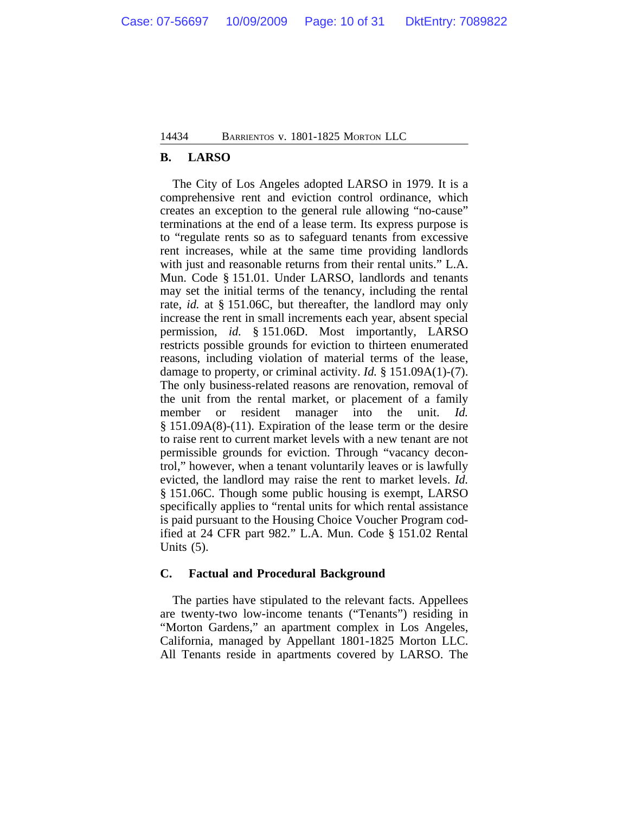#### **B. LARSO**

The City of Los Angeles adopted LARSO in 1979. It is a comprehensive rent and eviction control ordinance, which creates an exception to the general rule allowing "no-cause" terminations at the end of a lease term. Its express purpose is to "regulate rents so as to safeguard tenants from excessive rent increases, while at the same time providing landlords with just and reasonable returns from their rental units." L.A. Mun. Code § 151.01. Under LARSO, landlords and tenants may set the initial terms of the tenancy, including the rental rate, *id.* at § 151.06C, but thereafter, the landlord may only increase the rent in small increments each year, absent special permission, *id.* § 151.06D. Most importantly, LARSO restricts possible grounds for eviction to thirteen enumerated reasons, including violation of material terms of the lease, damage to property, or criminal activity. *Id.* § 151.09A(1)-(7). The only business-related reasons are renovation, removal of the unit from the rental market, or placement of a family member or resident manager into the unit. *Id.* § 151.09A(8)-(11). Expiration of the lease term or the desire to raise rent to current market levels with a new tenant are not permissible grounds for eviction. Through "vacancy decontrol," however, when a tenant voluntarily leaves or is lawfully evicted, the landlord may raise the rent to market levels. *Id.* § 151.06C. Though some public housing is exempt, LARSO specifically applies to "rental units for which rental assistance is paid pursuant to the Housing Choice Voucher Program codified at 24 CFR part 982." L.A. Mun. Code § 151.02 Rental Units (5).

#### **C. Factual and Procedural Background**

The parties have stipulated to the relevant facts. Appellees are twenty-two low-income tenants ("Tenants") residing in "Morton Gardens," an apartment complex in Los Angeles, California, managed by Appellant 1801-1825 Morton LLC. All Tenants reside in apartments covered by LARSO. The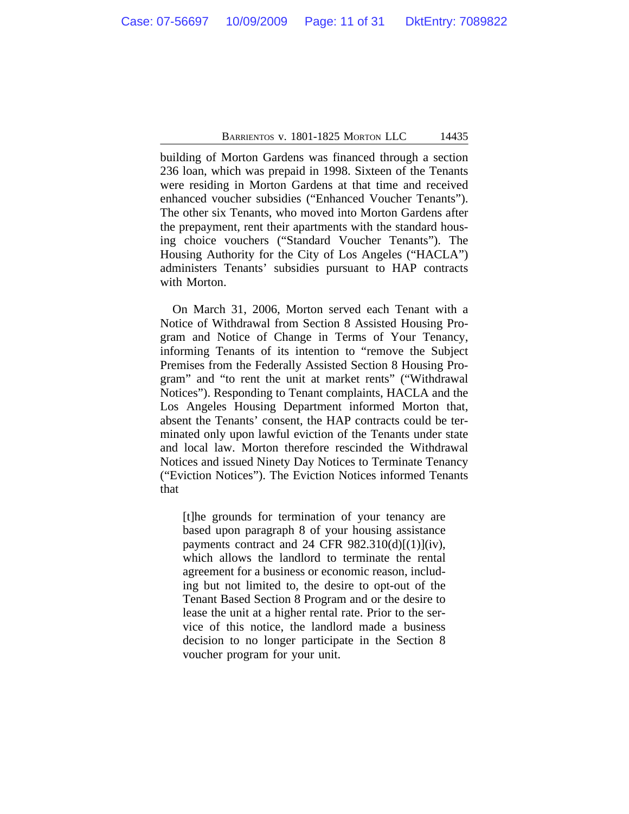building of Morton Gardens was financed through a section 236 loan, which was prepaid in 1998. Sixteen of the Tenants were residing in Morton Gardens at that time and received enhanced voucher subsidies ("Enhanced Voucher Tenants"). The other six Tenants, who moved into Morton Gardens after the prepayment, rent their apartments with the standard housing choice vouchers ("Standard Voucher Tenants"). The Housing Authority for the City of Los Angeles ("HACLA") administers Tenants' subsidies pursuant to HAP contracts with Morton.

On March 31, 2006, Morton served each Tenant with a Notice of Withdrawal from Section 8 Assisted Housing Program and Notice of Change in Terms of Your Tenancy, informing Tenants of its intention to "remove the Subject Premises from the Federally Assisted Section 8 Housing Program" and "to rent the unit at market rents" ("Withdrawal Notices"). Responding to Tenant complaints, HACLA and the Los Angeles Housing Department informed Morton that, absent the Tenants' consent, the HAP contracts could be terminated only upon lawful eviction of the Tenants under state and local law. Morton therefore rescinded the Withdrawal Notices and issued Ninety Day Notices to Terminate Tenancy ("Eviction Notices"). The Eviction Notices informed Tenants that

[t]he grounds for termination of your tenancy are based upon paragraph 8 of your housing assistance payments contract and 24 CFR  $982.310(d)[(1)](iv)$ , which allows the landlord to terminate the rental agreement for a business or economic reason, including but not limited to, the desire to opt-out of the Tenant Based Section 8 Program and or the desire to lease the unit at a higher rental rate. Prior to the service of this notice, the landlord made a business decision to no longer participate in the Section 8 voucher program for your unit.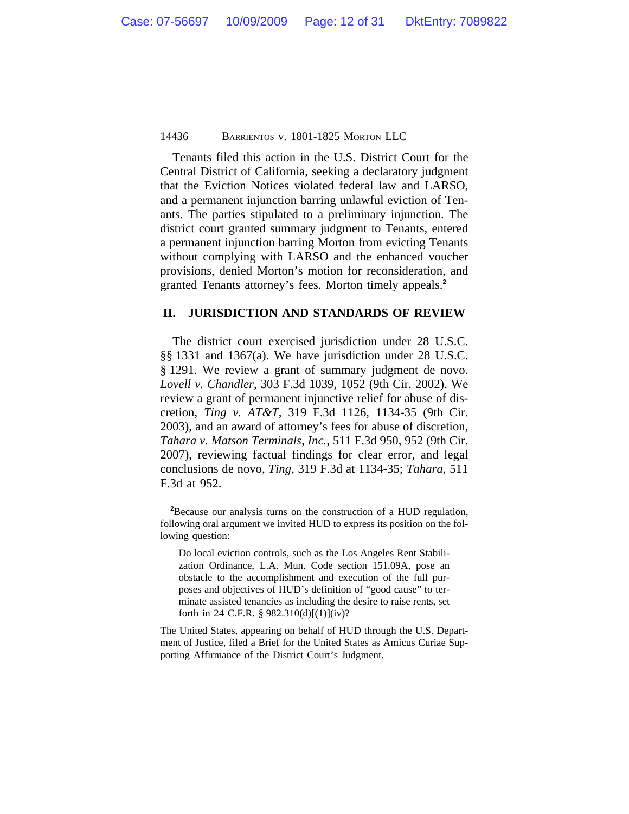Tenants filed this action in the U.S. District Court for the Central District of California, seeking a declaratory judgment that the Eviction Notices violated federal law and LARSO, and a permanent injunction barring unlawful eviction of Tenants. The parties stipulated to a preliminary injunction. The district court granted summary judgment to Tenants, entered a permanent injunction barring Morton from evicting Tenants without complying with LARSO and the enhanced voucher provisions, denied Morton's motion for reconsideration, and granted Tenants attorney's fees. Morton timely appeals.**<sup>2</sup>**

#### **II. JURISDICTION AND STANDARDS OF REVIEW**

The district court exercised jurisdiction under 28 U.S.C. §§ 1331 and 1367(a). We have jurisdiction under 28 U.S.C. § 1291. We review a grant of summary judgment de novo. *Lovell v. Chandler*, 303 F.3d 1039, 1052 (9th Cir. 2002). We review a grant of permanent injunctive relief for abuse of discretion, *Ting v. AT&T*, 319 F.3d 1126, 1134-35 (9th Cir. 2003), and an award of attorney's fees for abuse of discretion, *Tahara v. Matson Terminals, Inc.*, 511 F.3d 950, 952 (9th Cir. 2007), reviewing factual findings for clear error, and legal conclusions de novo, *Ting*, 319 F.3d at 1134-35; *Tahara*, 511 F.3d at 952.

The United States, appearing on behalf of HUD through the U.S. Department of Justice, filed a Brief for the United States as Amicus Curiae Supporting Affirmance of the District Court's Judgment.

**<sup>2</sup>**Because our analysis turns on the construction of a HUD regulation, following oral argument we invited HUD to express its position on the following question:

Do local eviction controls, such as the Los Angeles Rent Stabilization Ordinance, L.A. Mun. Code section 151.09A, pose an obstacle to the accomplishment and execution of the full purposes and objectives of HUD's definition of "good cause" to terminate assisted tenancies as including the desire to raise rents, set forth in 24 C.F.R. § 982.310(d)[(1)](iv)?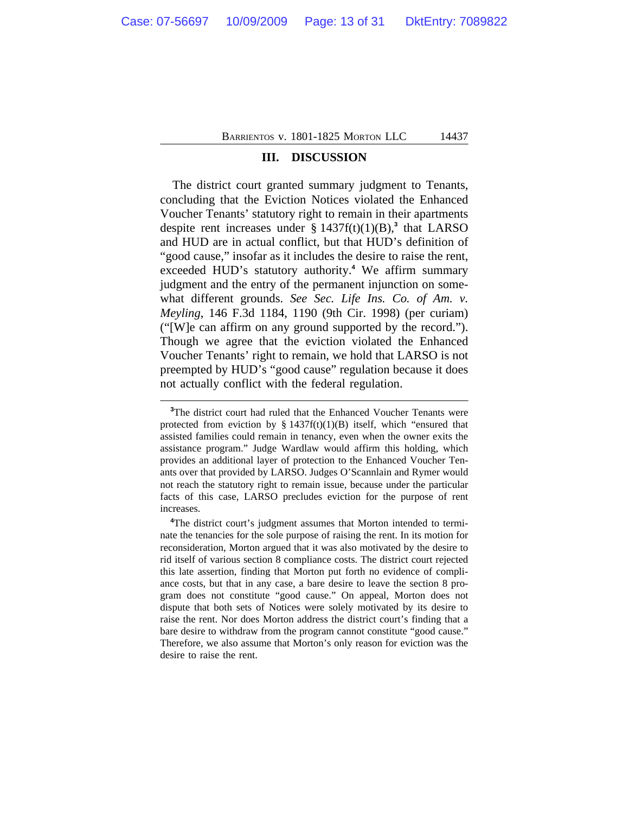#### **III. DISCUSSION**

The district court granted summary judgment to Tenants, concluding that the Eviction Notices violated the Enhanced Voucher Tenants' statutory right to remain in their apartments despite rent increases under  $\S$  1437 $f(t)(1)(B)$ ,<sup>3</sup> that LARSO and HUD are in actual conflict, but that HUD's definition of "good cause," insofar as it includes the desire to raise the rent, exceeded HUD's statutory authority.**<sup>4</sup>** We affirm summary judgment and the entry of the permanent injunction on somewhat different grounds. *See Sec. Life Ins. Co. of Am. v. Meyling*, 146 F.3d 1184, 1190 (9th Cir. 1998) (per curiam) ("[W]e can affirm on any ground supported by the record."). Though we agree that the eviction violated the Enhanced Voucher Tenants' right to remain, we hold that LARSO is not preempted by HUD's "good cause" regulation because it does not actually conflict with the federal regulation.

**<sup>3</sup>**The district court had ruled that the Enhanced Voucher Tenants were protected from eviction by  $\S 1437f(t)(1)(B)$  itself, which "ensured that assisted families could remain in tenancy, even when the owner exits the assistance program." Judge Wardlaw would affirm this holding, which provides an additional layer of protection to the Enhanced Voucher Tenants over that provided by LARSO. Judges O'Scannlain and Rymer would not reach the statutory right to remain issue, because under the particular facts of this case, LARSO precludes eviction for the purpose of rent increases.

**<sup>4</sup>**The district court's judgment assumes that Morton intended to terminate the tenancies for the sole purpose of raising the rent. In its motion for reconsideration, Morton argued that it was also motivated by the desire to rid itself of various section 8 compliance costs. The district court rejected this late assertion, finding that Morton put forth no evidence of compliance costs, but that in any case, a bare desire to leave the section 8 program does not constitute "good cause." On appeal, Morton does not dispute that both sets of Notices were solely motivated by its desire to raise the rent. Nor does Morton address the district court's finding that a bare desire to withdraw from the program cannot constitute "good cause." Therefore, we also assume that Morton's only reason for eviction was the desire to raise the rent.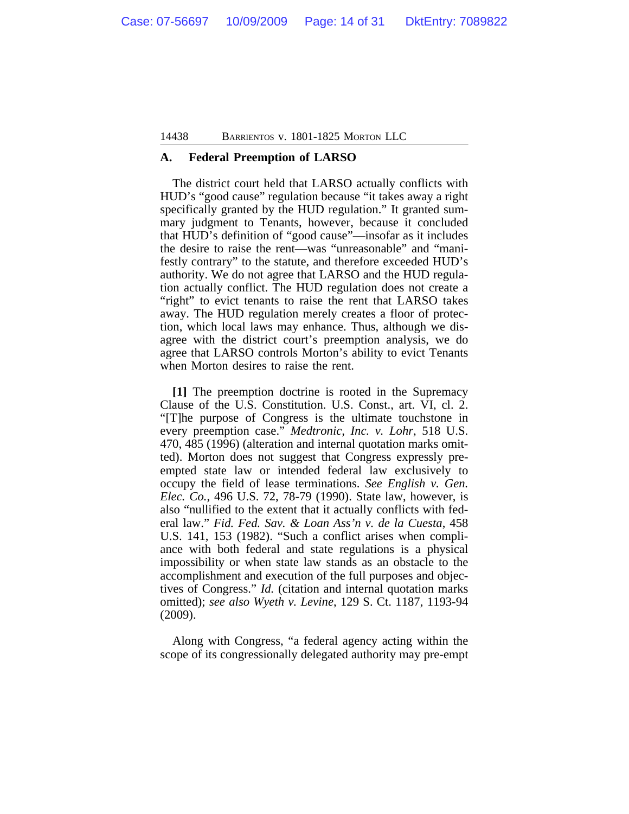#### **A. Federal Preemption of LARSO**

The district court held that LARSO actually conflicts with HUD's "good cause" regulation because "it takes away a right specifically granted by the HUD regulation." It granted summary judgment to Tenants, however, because it concluded that HUD's definition of "good cause"—insofar as it includes the desire to raise the rent—was "unreasonable" and "manifestly contrary" to the statute, and therefore exceeded HUD's authority. We do not agree that LARSO and the HUD regulation actually conflict. The HUD regulation does not create a "right" to evict tenants to raise the rent that LARSO takes away. The HUD regulation merely creates a floor of protection, which local laws may enhance. Thus, although we disagree with the district court's preemption analysis, we do agree that LARSO controls Morton's ability to evict Tenants when Morton desires to raise the rent.

**[1]** The preemption doctrine is rooted in the Supremacy Clause of the U.S. Constitution. U.S. Const., art. VI, cl. 2. "[T]he purpose of Congress is the ultimate touchstone in every preemption case." *Medtronic, Inc. v. Lohr*, 518 U.S. 470, 485 (1996) (alteration and internal quotation marks omitted). Morton does not suggest that Congress expressly preempted state law or intended federal law exclusively to occupy the field of lease terminations. *See English v. Gen. Elec. Co.*, 496 U.S. 72, 78-79 (1990). State law, however, is also "nullified to the extent that it actually conflicts with federal law." *Fid. Fed. Sav. & Loan Ass'n v. de la Cuesta*, 458 U.S. 141, 153 (1982). "Such a conflict arises when compliance with both federal and state regulations is a physical impossibility or when state law stands as an obstacle to the accomplishment and execution of the full purposes and objectives of Congress." *Id.* (citation and internal quotation marks omitted); *see also Wyeth v. Levine*, 129 S. Ct. 1187, 1193-94 (2009).

Along with Congress, "a federal agency acting within the scope of its congressionally delegated authority may pre-empt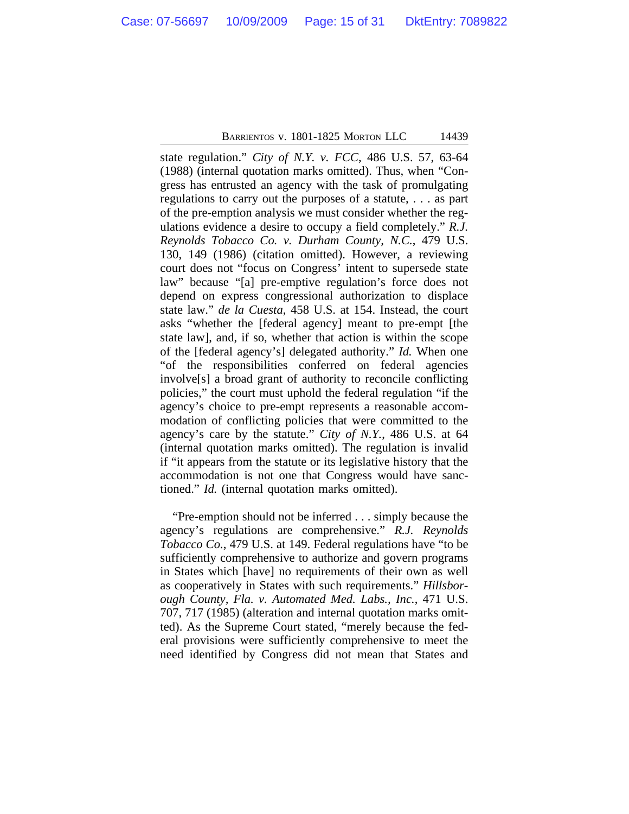state regulation." *City of N.Y. v. FCC*, 486 U.S. 57, 63-64 (1988) (internal quotation marks omitted). Thus, when "Congress has entrusted an agency with the task of promulgating regulations to carry out the purposes of a statute, . . . as part of the pre-emption analysis we must consider whether the regulations evidence a desire to occupy a field completely." *R.J. Reynolds Tobacco Co. v. Durham County, N.C.*, 479 U.S. 130, 149 (1986) (citation omitted). However, a reviewing court does not "focus on Congress' intent to supersede state law" because "[a] pre-emptive regulation's force does not depend on express congressional authorization to displace state law." *de la Cuesta*, 458 U.S. at 154. Instead, the court asks "whether the [federal agency] meant to pre-empt [the state law], and, if so, whether that action is within the scope of the [federal agency's] delegated authority." *Id.* When one "of the responsibilities conferred on federal agencies involve[s] a broad grant of authority to reconcile conflicting policies," the court must uphold the federal regulation "if the agency's choice to pre-empt represents a reasonable accommodation of conflicting policies that were committed to the agency's care by the statute." *City of N.Y.*, 486 U.S. at 64 (internal quotation marks omitted). The regulation is invalid if "it appears from the statute or its legislative history that the accommodation is not one that Congress would have sanctioned." *Id.* (internal quotation marks omitted).

"Pre-emption should not be inferred . . . simply because the agency's regulations are comprehensive." *R.J. Reynolds Tobacco Co.*, 479 U.S. at 149. Federal regulations have "to be sufficiently comprehensive to authorize and govern programs in States which [have] no requirements of their own as well as cooperatively in States with such requirements." *Hillsborough County, Fla. v. Automated Med. Labs., Inc.*, 471 U.S. 707, 717 (1985) (alteration and internal quotation marks omitted). As the Supreme Court stated, "merely because the federal provisions were sufficiently comprehensive to meet the need identified by Congress did not mean that States and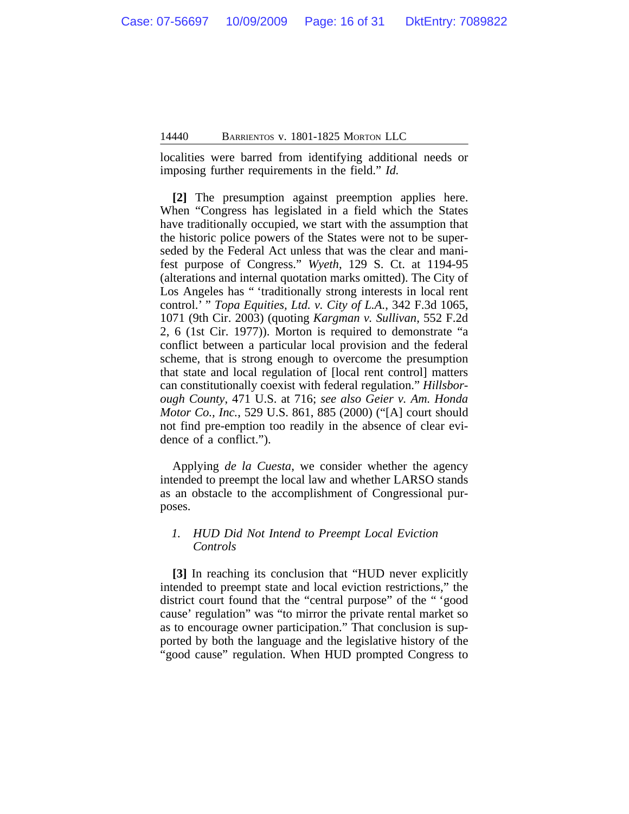localities were barred from identifying additional needs or imposing further requirements in the field." *Id.*

**[2]** The presumption against preemption applies here. When "Congress has legislated in a field which the States have traditionally occupied, we start with the assumption that the historic police powers of the States were not to be superseded by the Federal Act unless that was the clear and manifest purpose of Congress." *Wyeth*, 129 S. Ct. at 1194-95 (alterations and internal quotation marks omitted). The City of Los Angeles has " 'traditionally strong interests in local rent control.' " *Topa Equities, Ltd. v. City of L.A.*, 342 F.3d 1065, 1071 (9th Cir. 2003) (quoting *Kargman v. Sullivan*, 552 F.2d 2, 6 (1st Cir. 1977)). Morton is required to demonstrate "a conflict between a particular local provision and the federal scheme, that is strong enough to overcome the presumption that state and local regulation of [local rent control] matters can constitutionally coexist with federal regulation." *Hillsborough County*, 471 U.S. at 716; *see also Geier v. Am. Honda Motor Co., Inc.*, 529 U.S. 861, 885 (2000) ("[A] court should not find pre-emption too readily in the absence of clear evidence of a conflict.").

Applying *de la Cuesta*, we consider whether the agency intended to preempt the local law and whether LARSO stands as an obstacle to the accomplishment of Congressional purposes.

#### *1. HUD Did Not Intend to Preempt Local Eviction Controls*

**[3]** In reaching its conclusion that "HUD never explicitly intended to preempt state and local eviction restrictions," the district court found that the "central purpose" of the " 'good cause' regulation" was "to mirror the private rental market so as to encourage owner participation." That conclusion is supported by both the language and the legislative history of the "good cause" regulation. When HUD prompted Congress to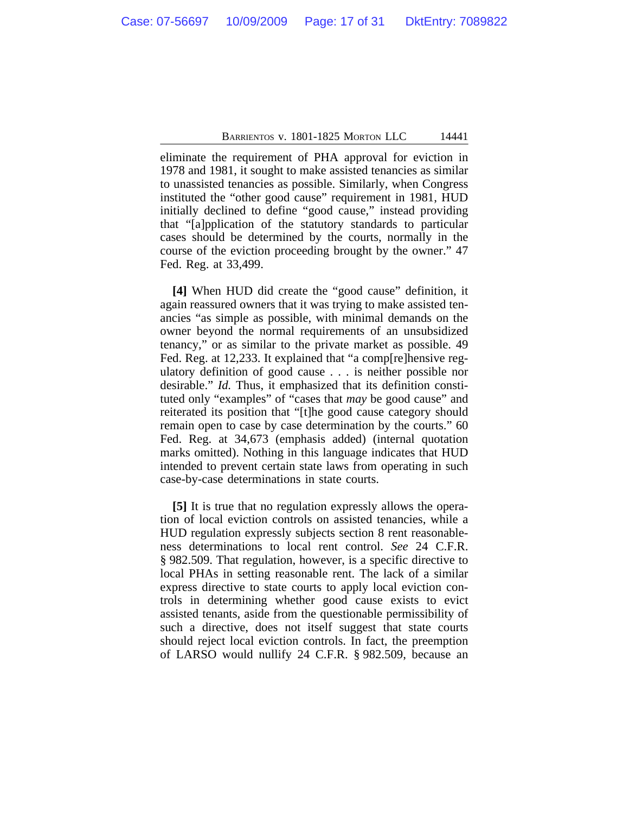eliminate the requirement of PHA approval for eviction in 1978 and 1981, it sought to make assisted tenancies as similar to unassisted tenancies as possible. Similarly, when Congress instituted the "other good cause" requirement in 1981, HUD initially declined to define "good cause," instead providing that "[a]pplication of the statutory standards to particular cases should be determined by the courts, normally in the course of the eviction proceeding brought by the owner." 47 Fed. Reg. at 33,499.

**[4]** When HUD did create the "good cause" definition, it again reassured owners that it was trying to make assisted tenancies "as simple as possible, with minimal demands on the owner beyond the normal requirements of an unsubsidized tenancy," or as similar to the private market as possible. 49 Fed. Reg. at 12,233. It explained that "a comp[re]hensive regulatory definition of good cause . . . is neither possible nor desirable." *Id.* Thus, it emphasized that its definition constituted only "examples" of "cases that *may* be good cause" and reiterated its position that "[t]he good cause category should remain open to case by case determination by the courts." 60 Fed. Reg. at 34,673 (emphasis added) (internal quotation marks omitted). Nothing in this language indicates that HUD intended to prevent certain state laws from operating in such case-by-case determinations in state courts.

**[5]** It is true that no regulation expressly allows the operation of local eviction controls on assisted tenancies, while a HUD regulation expressly subjects section 8 rent reasonableness determinations to local rent control. *See* 24 C.F.R. § 982.509. That regulation, however, is a specific directive to local PHAs in setting reasonable rent. The lack of a similar express directive to state courts to apply local eviction controls in determining whether good cause exists to evict assisted tenants, aside from the questionable permissibility of such a directive, does not itself suggest that state courts should reject local eviction controls. In fact, the preemption of LARSO would nullify 24 C.F.R. § 982.509, because an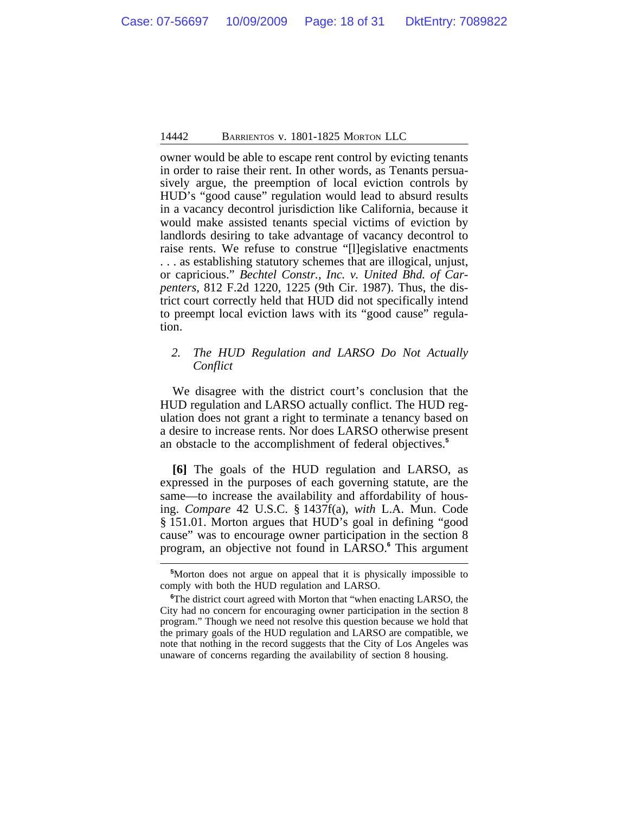owner would be able to escape rent control by evicting tenants in order to raise their rent. In other words, as Tenants persuasively argue, the preemption of local eviction controls by HUD's "good cause" regulation would lead to absurd results in a vacancy decontrol jurisdiction like California, because it would make assisted tenants special victims of eviction by landlords desiring to take advantage of vacancy decontrol to raise rents. We refuse to construe "[l]egislative enactments . . . as establishing statutory schemes that are illogical, unjust, or capricious." *Bechtel Constr., Inc. v. United Bhd. of Carpenters*, 812 F.2d 1220, 1225 (9th Cir. 1987). Thus, the district court correctly held that HUD did not specifically intend to preempt local eviction laws with its "good cause" regulation.

#### *2. The HUD Regulation and LARSO Do Not Actually Conflict*

We disagree with the district court's conclusion that the HUD regulation and LARSO actually conflict. The HUD regulation does not grant a right to terminate a tenancy based on a desire to increase rents. Nor does LARSO otherwise present an obstacle to the accomplishment of federal objectives.**<sup>5</sup>**

**[6]** The goals of the HUD regulation and LARSO, as expressed in the purposes of each governing statute, are the same—to increase the availability and affordability of housing. *Compare* 42 U.S.C. § 1437f(a), *with* L.A. Mun. Code § 151.01. Morton argues that HUD's goal in defining "good cause" was to encourage owner participation in the section 8 program, an objective not found in LARSO.**<sup>6</sup>** This argument

**<sup>5</sup>**Morton does not argue on appeal that it is physically impossible to comply with both the HUD regulation and LARSO.

<sup>&</sup>lt;sup>6</sup>The district court agreed with Morton that "when enacting LARSO, the City had no concern for encouraging owner participation in the section 8 program." Though we need not resolve this question because we hold that the primary goals of the HUD regulation and LARSO are compatible, we note that nothing in the record suggests that the City of Los Angeles was unaware of concerns regarding the availability of section 8 housing.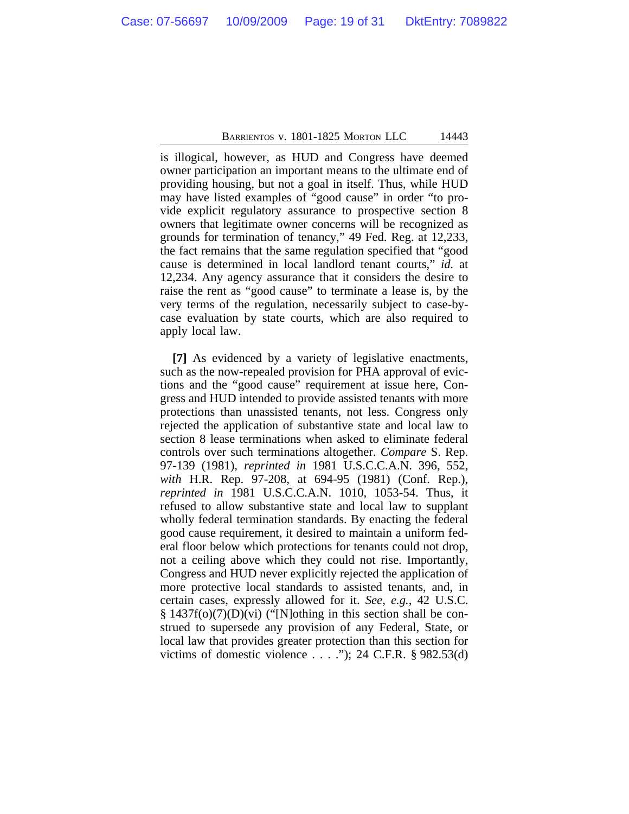is illogical, however, as HUD and Congress have deemed owner participation an important means to the ultimate end of providing housing, but not a goal in itself. Thus, while HUD may have listed examples of "good cause" in order "to provide explicit regulatory assurance to prospective section 8 owners that legitimate owner concerns will be recognized as grounds for termination of tenancy," 49 Fed. Reg. at 12,233, the fact remains that the same regulation specified that "good cause is determined in local landlord tenant courts," *id.* at 12,234. Any agency assurance that it considers the desire to raise the rent as "good cause" to terminate a lease is, by the very terms of the regulation, necessarily subject to case-bycase evaluation by state courts, which are also required to apply local law.

**[7]** As evidenced by a variety of legislative enactments, such as the now-repealed provision for PHA approval of evictions and the "good cause" requirement at issue here, Congress and HUD intended to provide assisted tenants with more protections than unassisted tenants, not less. Congress only rejected the application of substantive state and local law to section 8 lease terminations when asked to eliminate federal controls over such terminations altogether. *Compare* S. Rep. 97-139 (1981), *reprinted in* 1981 U.S.C.C.A.N. 396, 552, *with* H.R. Rep. 97-208, at 694-95 (1981) (Conf. Rep.), *reprinted in* 1981 U.S.C.C.A.N. 1010, 1053-54. Thus, it refused to allow substantive state and local law to supplant wholly federal termination standards. By enacting the federal good cause requirement, it desired to maintain a uniform federal floor below which protections for tenants could not drop, not a ceiling above which they could not rise. Importantly, Congress and HUD never explicitly rejected the application of more protective local standards to assisted tenants, and, in certain cases, expressly allowed for it. *See, e.g.*, 42 U.S.C. § 1437f(o)(7)(D)(vi) ("[N]othing in this section shall be construed to supersede any provision of any Federal, State, or local law that provides greater protection than this section for victims of domestic violence  $\dots$  ."); 24 C.F.R. § 982.53(d)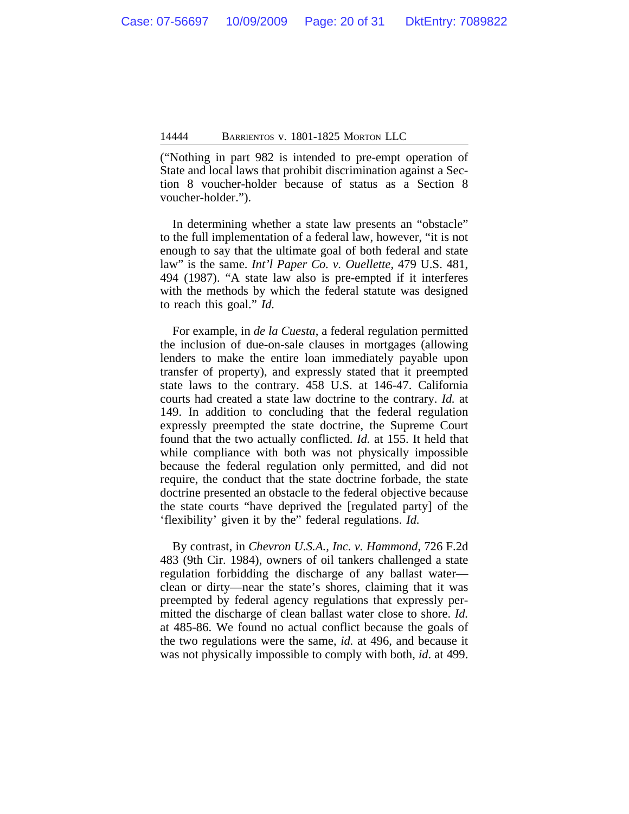("Nothing in part 982 is intended to pre-empt operation of State and local laws that prohibit discrimination against a Section 8 voucher-holder because of status as a Section 8 voucher-holder.").

In determining whether a state law presents an "obstacle" to the full implementation of a federal law, however, "it is not enough to say that the ultimate goal of both federal and state law" is the same. *Int'l Paper Co. v. Ouellette*, 479 U.S. 481, 494 (1987). "A state law also is pre-empted if it interferes with the methods by which the federal statute was designed to reach this goal." *Id.*

For example, in *de la Cuesta*, a federal regulation permitted the inclusion of due-on-sale clauses in mortgages (allowing lenders to make the entire loan immediately payable upon transfer of property), and expressly stated that it preempted state laws to the contrary. 458 U.S. at 146-47. California courts had created a state law doctrine to the contrary. *Id.* at 149. In addition to concluding that the federal regulation expressly preempted the state doctrine, the Supreme Court found that the two actually conflicted. *Id.* at 155. It held that while compliance with both was not physically impossible because the federal regulation only permitted, and did not require, the conduct that the state doctrine forbade, the state doctrine presented an obstacle to the federal objective because the state courts "have deprived the [regulated party] of the 'flexibility' given it by the" federal regulations. *Id.* 

By contrast, in *Chevron U.S.A., Inc. v. Hammond*, 726 F.2d 483 (9th Cir. 1984), owners of oil tankers challenged a state regulation forbidding the discharge of any ballast water clean or dirty—near the state's shores, claiming that it was preempted by federal agency regulations that expressly permitted the discharge of clean ballast water close to shore. *Id.* at 485-86. We found no actual conflict because the goals of the two regulations were the same, *id.* at 496, and because it was not physically impossible to comply with both, *id*. at 499.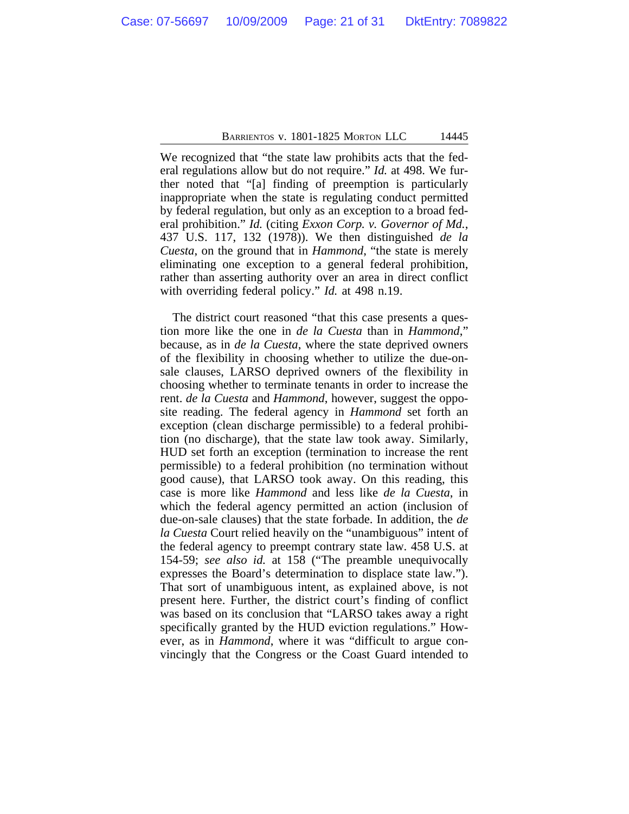We recognized that "the state law prohibits acts that the federal regulations allow but do not require." *Id.* at 498. We further noted that "[a] finding of preemption is particularly inappropriate when the state is regulating conduct permitted by federal regulation, but only as an exception to a broad federal prohibition." *Id.* (citing *Exxon Corp. v. Governor of Md.*, 437 U.S. 117, 132 (1978)). We then distinguished *de la Cuesta*, on the ground that in *Hammond*, "the state is merely eliminating one exception to a general federal prohibition, rather than asserting authority over an area in direct conflict with overriding federal policy." *Id.* at 498 n.19.

The district court reasoned "that this case presents a question more like the one in *de la Cuesta* than in *Hammond*," because, as in *de la Cuesta*, where the state deprived owners of the flexibility in choosing whether to utilize the due-onsale clauses, LARSO deprived owners of the flexibility in choosing whether to terminate tenants in order to increase the rent. *de la Cuesta* and *Hammond*, however, suggest the opposite reading. The federal agency in *Hammond* set forth an exception (clean discharge permissible) to a federal prohibition (no discharge), that the state law took away. Similarly, HUD set forth an exception (termination to increase the rent permissible) to a federal prohibition (no termination without good cause), that LARSO took away. On this reading, this case is more like *Hammond* and less like *de la Cuesta*, in which the federal agency permitted an action (inclusion of due-on-sale clauses) that the state forbade. In addition, the *de la Cuesta* Court relied heavily on the "unambiguous" intent of the federal agency to preempt contrary state law. 458 U.S. at 154-59; *see also id.* at 158 ("The preamble unequivocally expresses the Board's determination to displace state law."). That sort of unambiguous intent, as explained above, is not present here. Further, the district court's finding of conflict was based on its conclusion that "LARSO takes away a right specifically granted by the HUD eviction regulations." However, as in *Hammond*, where it was "difficult to argue convincingly that the Congress or the Coast Guard intended to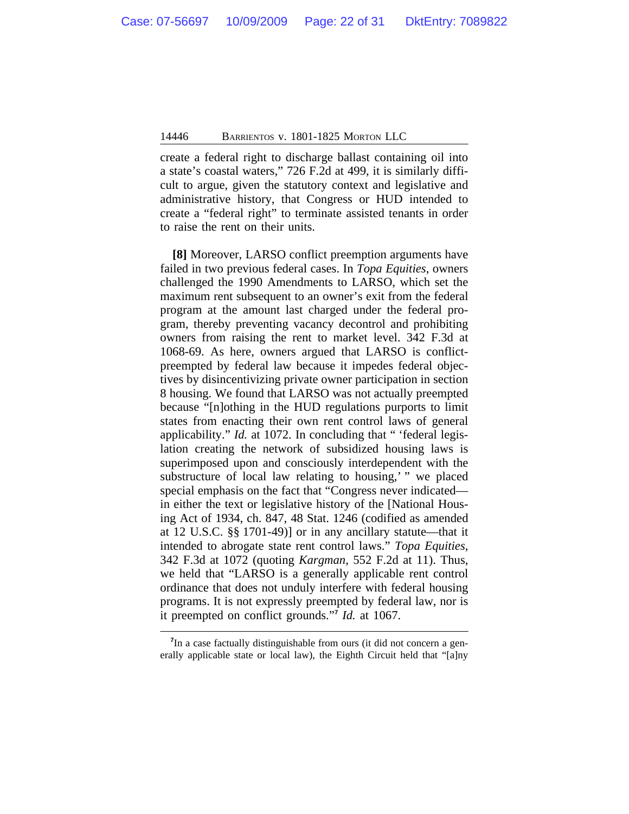create a federal right to discharge ballast containing oil into a state's coastal waters," 726 F.2d at 499, it is similarly difficult to argue, given the statutory context and legislative and administrative history, that Congress or HUD intended to create a "federal right" to terminate assisted tenants in order to raise the rent on their units.

**[8]** Moreover, LARSO conflict preemption arguments have failed in two previous federal cases. In *Topa Equities*, owners challenged the 1990 Amendments to LARSO, which set the maximum rent subsequent to an owner's exit from the federal program at the amount last charged under the federal program, thereby preventing vacancy decontrol and prohibiting owners from raising the rent to market level. 342 F.3d at 1068-69. As here, owners argued that LARSO is conflictpreempted by federal law because it impedes federal objectives by disincentivizing private owner participation in section 8 housing. We found that LARSO was not actually preempted because "[n]othing in the HUD regulations purports to limit states from enacting their own rent control laws of general applicability." *Id.* at 1072. In concluding that " 'federal legislation creating the network of subsidized housing laws is superimposed upon and consciously interdependent with the substructure of local law relating to housing,' " we placed special emphasis on the fact that "Congress never indicated in either the text or legislative history of the [National Housing Act of 1934, ch. 847, 48 Stat. 1246 (codified as amended at 12 U.S.C. §§ 1701-49)] or in any ancillary statute—that it intended to abrogate state rent control laws." *Topa Equities*, 342 F.3d at 1072 (quoting *Kargman*, 552 F.2d at 11). Thus, we held that "LARSO is a generally applicable rent control ordinance that does not unduly interfere with federal housing programs. It is not expressly preempted by federal law, nor is it preempted on conflict grounds." **7** *Id.* at 1067.

<sup>&</sup>lt;sup>7</sup>In a case factually distinguishable from ours (it did not concern a generally applicable state or local law), the Eighth Circuit held that "[a]ny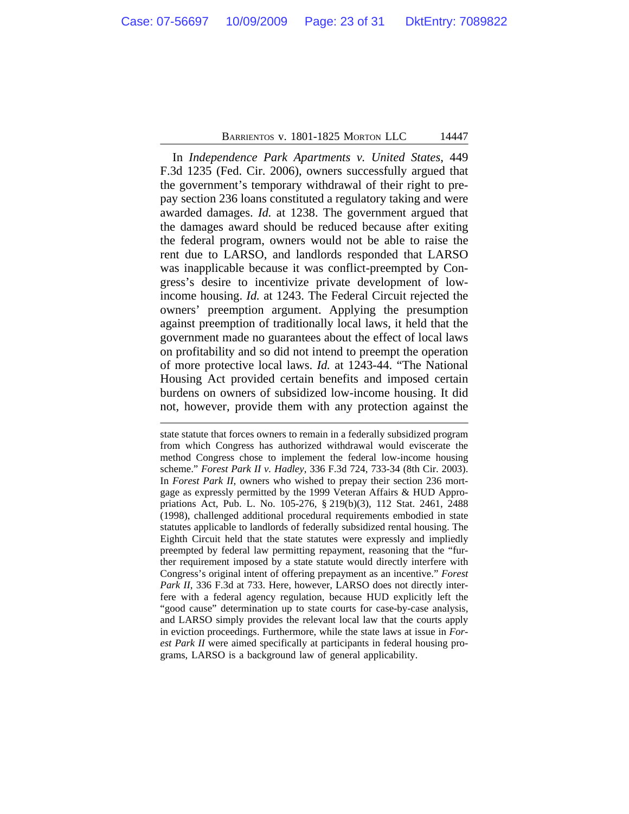In *Independence Park Apartments v. United States*, 449 F.3d 1235 (Fed. Cir. 2006), owners successfully argued that the government's temporary withdrawal of their right to prepay section 236 loans constituted a regulatory taking and were awarded damages. *Id.* at 1238. The government argued that the damages award should be reduced because after exiting the federal program, owners would not be able to raise the rent due to LARSO, and landlords responded that LARSO was inapplicable because it was conflict-preempted by Congress's desire to incentivize private development of lowincome housing. *Id.* at 1243. The Federal Circuit rejected the owners' preemption argument. Applying the presumption against preemption of traditionally local laws, it held that the government made no guarantees about the effect of local laws on profitability and so did not intend to preempt the operation of more protective local laws. *Id.* at 1243-44. "The National Housing Act provided certain benefits and imposed certain burdens on owners of subsidized low-income housing. It did not, however, provide them with any protection against the

state statute that forces owners to remain in a federally subsidized program from which Congress has authorized withdrawal would eviscerate the method Congress chose to implement the federal low-income housing scheme." *Forest Park II v. Hadley*, 336 F.3d 724, 733-34 (8th Cir. 2003). In *Forest Park II*, owners who wished to prepay their section 236 mortgage as expressly permitted by the 1999 Veteran Affairs & HUD Appropriations Act, Pub. L. No. 105-276, § 219(b)(3), 112 Stat. 2461, 2488 (1998), challenged additional procedural requirements embodied in state statutes applicable to landlords of federally subsidized rental housing. The Eighth Circuit held that the state statutes were expressly and impliedly preempted by federal law permitting repayment, reasoning that the "further requirement imposed by a state statute would directly interfere with Congress's original intent of offering prepayment as an incentive." *Forest Park II*, 336 F.3d at 733. Here, however, LARSO does not directly interfere with a federal agency regulation, because HUD explicitly left the "good cause" determination up to state courts for case-by-case analysis, and LARSO simply provides the relevant local law that the courts apply in eviction proceedings. Furthermore, while the state laws at issue in *Forest Park II* were aimed specifically at participants in federal housing programs, LARSO is a background law of general applicability.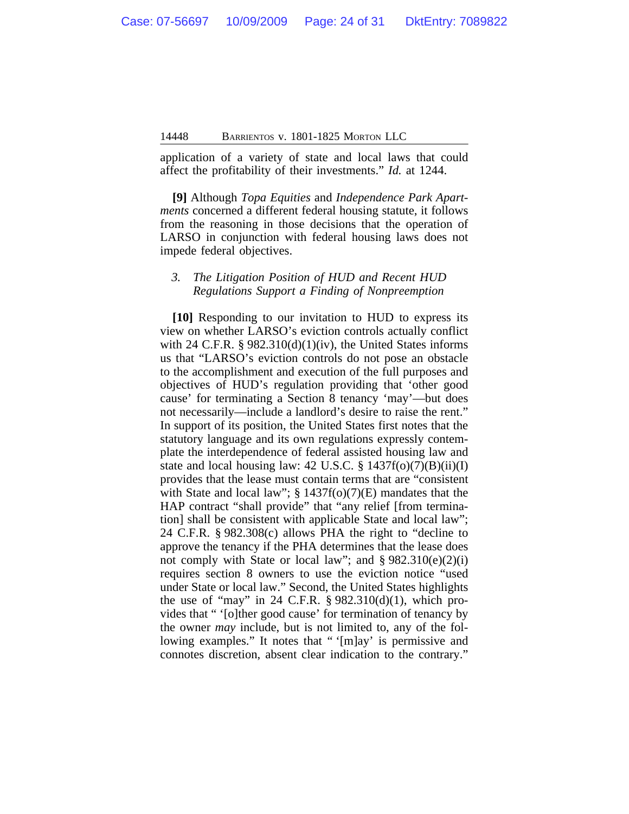application of a variety of state and local laws that could affect the profitability of their investments." *Id.* at 1244.

**[9]** Although *Topa Equities* and *Independence Park Apartments* concerned a different federal housing statute, it follows from the reasoning in those decisions that the operation of LARSO in conjunction with federal housing laws does not impede federal objectives.

#### *3. The Litigation Position of HUD and Recent HUD Regulations Support a Finding of Nonpreemption*

**[10]** Responding to our invitation to HUD to express its view on whether LARSO's eviction controls actually conflict with 24 C.F.R.  $\S$  982.310(d)(1)(iv), the United States informs us that "LARSO's eviction controls do not pose an obstacle to the accomplishment and execution of the full purposes and objectives of HUD's regulation providing that 'other good cause' for terminating a Section 8 tenancy 'may'—but does not necessarily—include a landlord's desire to raise the rent." In support of its position, the United States first notes that the statutory language and its own regulations expressly contemplate the interdependence of federal assisted housing law and state and local housing law: 42 U.S.C.  $\S$  1437f(o)(7)(B)(ii)(I) provides that the lease must contain terms that are "consistent with State and local law"; § 1437f(o)(7)(E) mandates that the HAP contract "shall provide" that "any relief [from termination] shall be consistent with applicable State and local law"; 24 C.F.R. § 982.308(c) allows PHA the right to "decline to approve the tenancy if the PHA determines that the lease does not comply with State or local law"; and  $\S 982.310(e)(2)(i)$ requires section 8 owners to use the eviction notice "used under State or local law." Second, the United States highlights the use of "may" in 24 C.F.R.  $\S 982.310(d)(1)$ , which provides that " '[o]ther good cause' for termination of tenancy by the owner *may* include, but is not limited to, any of the following examples." It notes that " '[m]ay' is permissive and connotes discretion, absent clear indication to the contrary."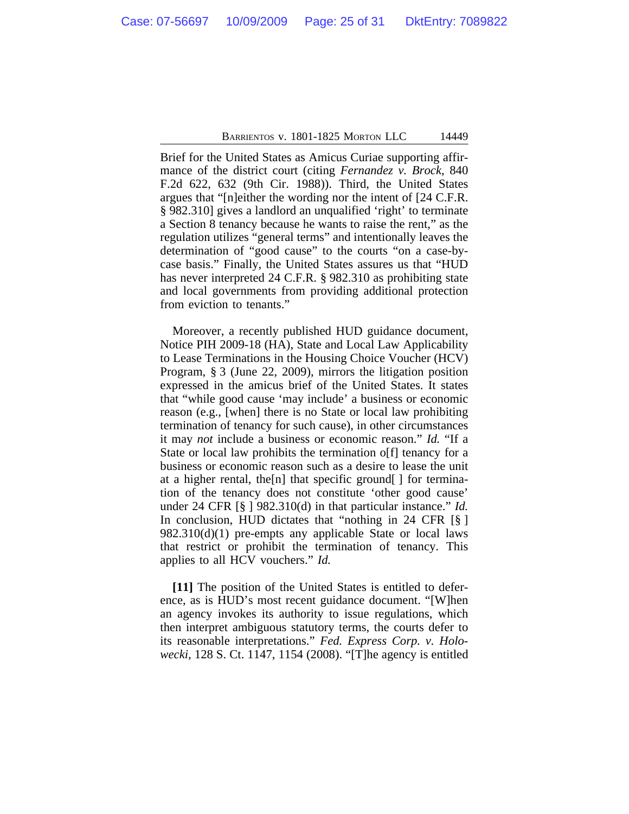Brief for the United States as Amicus Curiae supporting affirmance of the district court (citing *Fernandez v. Brock*, 840 F.2d 622, 632 (9th Cir. 1988)). Third, the United States argues that "[n]either the wording nor the intent of [24 C.F.R. § 982.310] gives a landlord an unqualified 'right' to terminate a Section 8 tenancy because he wants to raise the rent," as the regulation utilizes "general terms" and intentionally leaves the determination of "good cause" to the courts "on a case-bycase basis." Finally, the United States assures us that "HUD has never interpreted 24 C.F.R. § 982.310 as prohibiting state and local governments from providing additional protection from eviction to tenants."

Moreover, a recently published HUD guidance document, Notice PIH 2009-18 (HA), State and Local Law Applicability to Lease Terminations in the Housing Choice Voucher (HCV) Program, § 3 (June 22, 2009), mirrors the litigation position expressed in the amicus brief of the United States. It states that "while good cause 'may include' a business or economic reason (e.g., [when] there is no State or local law prohibiting termination of tenancy for such cause), in other circumstances it may *not* include a business or economic reason." *Id.* "If a State or local law prohibits the termination of f tenancy for a business or economic reason such as a desire to lease the unit at a higher rental, the[n] that specific ground[ ] for termination of the tenancy does not constitute 'other good cause' under 24 CFR [§ ] 982.310(d) in that particular instance." *Id.* In conclusion, HUD dictates that "nothing in 24 CFR [§ ] 982.310(d)(1) pre-empts any applicable State or local laws that restrict or prohibit the termination of tenancy. This applies to all HCV vouchers." *Id.*

**[11]** The position of the United States is entitled to deference, as is HUD's most recent guidance document. "[W]hen an agency invokes its authority to issue regulations, which then interpret ambiguous statutory terms, the courts defer to its reasonable interpretations." *Fed. Express Corp. v. Holowecki*, 128 S. Ct. 1147, 1154 (2008). "[T]he agency is entitled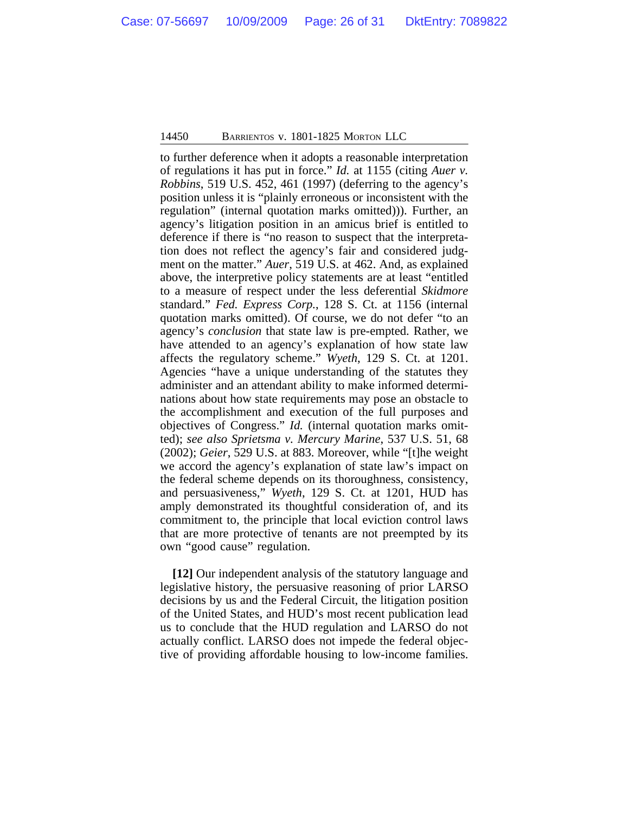to further deference when it adopts a reasonable interpretation of regulations it has put in force." *Id.* at 1155 (citing *Auer v. Robbins*, 519 U.S. 452, 461 (1997) (deferring to the agency's position unless it is "plainly erroneous or inconsistent with the regulation" (internal quotation marks omitted))). Further, an agency's litigation position in an amicus brief is entitled to deference if there is "no reason to suspect that the interpretation does not reflect the agency's fair and considered judgment on the matter." *Auer*, 519 U.S. at 462. And, as explained above, the interpretive policy statements are at least "entitled to a measure of respect under the less deferential *Skidmore* standard." *Fed. Express Corp.*, 128 S. Ct. at 1156 (internal quotation marks omitted). Of course, we do not defer "to an agency's *conclusion* that state law is pre-empted. Rather, we have attended to an agency's explanation of how state law affects the regulatory scheme." *Wyeth*, 129 S. Ct. at 1201. Agencies "have a unique understanding of the statutes they administer and an attendant ability to make informed determinations about how state requirements may pose an obstacle to the accomplishment and execution of the full purposes and objectives of Congress." *Id.* (internal quotation marks omitted); *see also Sprietsma v. Mercury Marine*, 537 U.S. 51, 68 (2002); *Geier*, 529 U.S. at 883. Moreover, while "[t]he weight we accord the agency's explanation of state law's impact on the federal scheme depends on its thoroughness, consistency, and persuasiveness," *Wyeth*, 129 S. Ct. at 1201, HUD has amply demonstrated its thoughtful consideration of, and its commitment to, the principle that local eviction control laws that are more protective of tenants are not preempted by its own "good cause" regulation.

**[12]** Our independent analysis of the statutory language and legislative history, the persuasive reasoning of prior LARSO decisions by us and the Federal Circuit, the litigation position of the United States, and HUD's most recent publication lead us to conclude that the HUD regulation and LARSO do not actually conflict. LARSO does not impede the federal objective of providing affordable housing to low-income families.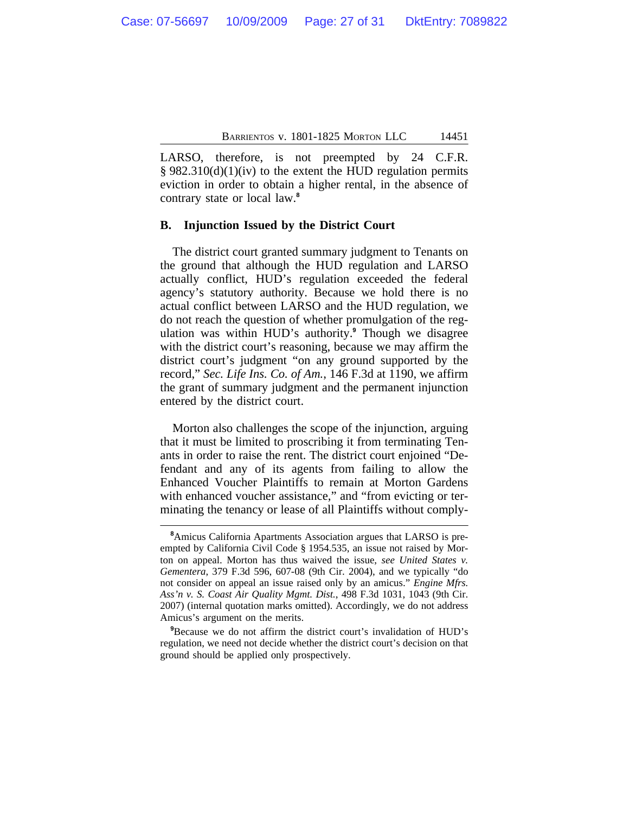LARSO, therefore, is not preempted by 24 C.F.R.  $§ 982.310(d)(1)(iv)$  to the extent the HUD regulation permits eviction in order to obtain a higher rental, in the absence of contrary state or local law.**<sup>8</sup>**

#### **B. Injunction Issued by the District Court**

The district court granted summary judgment to Tenants on the ground that although the HUD regulation and LARSO actually conflict, HUD's regulation exceeded the federal agency's statutory authority. Because we hold there is no actual conflict between LARSO and the HUD regulation, we do not reach the question of whether promulgation of the regulation was within HUD's authority.**<sup>9</sup>** Though we disagree with the district court's reasoning, because we may affirm the district court's judgment "on any ground supported by the record," *Sec. Life Ins. Co. of Am.*, 146 F.3d at 1190, we affirm the grant of summary judgment and the permanent injunction entered by the district court.

Morton also challenges the scope of the injunction, arguing that it must be limited to proscribing it from terminating Tenants in order to raise the rent. The district court enjoined "Defendant and any of its agents from failing to allow the Enhanced Voucher Plaintiffs to remain at Morton Gardens with enhanced voucher assistance," and "from evicting or terminating the tenancy or lease of all Plaintiffs without comply-

**<sup>8</sup>**Amicus California Apartments Association argues that LARSO is preempted by California Civil Code § 1954.535, an issue not raised by Morton on appeal. Morton has thus waived the issue, *see United States v. Gementera*, 379 F.3d 596, 607-08 (9th Cir. 2004), and we typically "do not consider on appeal an issue raised only by an amicus." *Engine Mfrs. Ass'n v. S. Coast Air Quality Mgmt. Dist.*, 498 F.3d 1031, 1043 (9th Cir. 2007) (internal quotation marks omitted). Accordingly, we do not address Amicus's argument on the merits.

**<sup>9</sup>**Because we do not affirm the district court's invalidation of HUD's regulation, we need not decide whether the district court's decision on that ground should be applied only prospectively.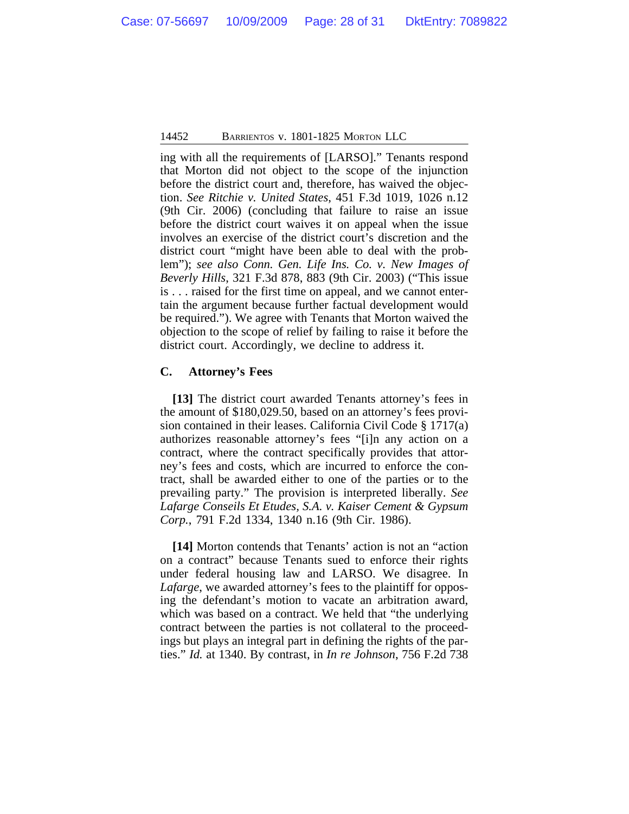ing with all the requirements of [LARSO]." Tenants respond that Morton did not object to the scope of the injunction before the district court and, therefore, has waived the objection. *See Ritchie v. United States*, 451 F.3d 1019, 1026 n.12 (9th Cir. 2006) (concluding that failure to raise an issue before the district court waives it on appeal when the issue involves an exercise of the district court's discretion and the district court "might have been able to deal with the problem"); *see also Conn. Gen. Life Ins. Co. v. New Images of Beverly Hills*, 321 F.3d 878, 883 (9th Cir. 2003) ("This issue is . . . raised for the first time on appeal, and we cannot entertain the argument because further factual development would be required."). We agree with Tenants that Morton waived the objection to the scope of relief by failing to raise it before the district court. Accordingly, we decline to address it.

#### **C. Attorney's Fees**

**[13]** The district court awarded Tenants attorney's fees in the amount of \$180,029.50, based on an attorney's fees provision contained in their leases. California Civil Code § 1717(a) authorizes reasonable attorney's fees "[i]n any action on a contract, where the contract specifically provides that attorney's fees and costs, which are incurred to enforce the contract, shall be awarded either to one of the parties or to the prevailing party." The provision is interpreted liberally. *See Lafarge Conseils Et Etudes, S.A. v. Kaiser Cement & Gypsum Corp.*, 791 F.2d 1334, 1340 n.16 (9th Cir. 1986).

**[14]** Morton contends that Tenants' action is not an "action on a contract" because Tenants sued to enforce their rights under federal housing law and LARSO. We disagree. In *Lafarge*, we awarded attorney's fees to the plaintiff for opposing the defendant's motion to vacate an arbitration award, which was based on a contract. We held that "the underlying contract between the parties is not collateral to the proceedings but plays an integral part in defining the rights of the parties." *Id.* at 1340. By contrast, in *In re Johnson*, 756 F.2d 738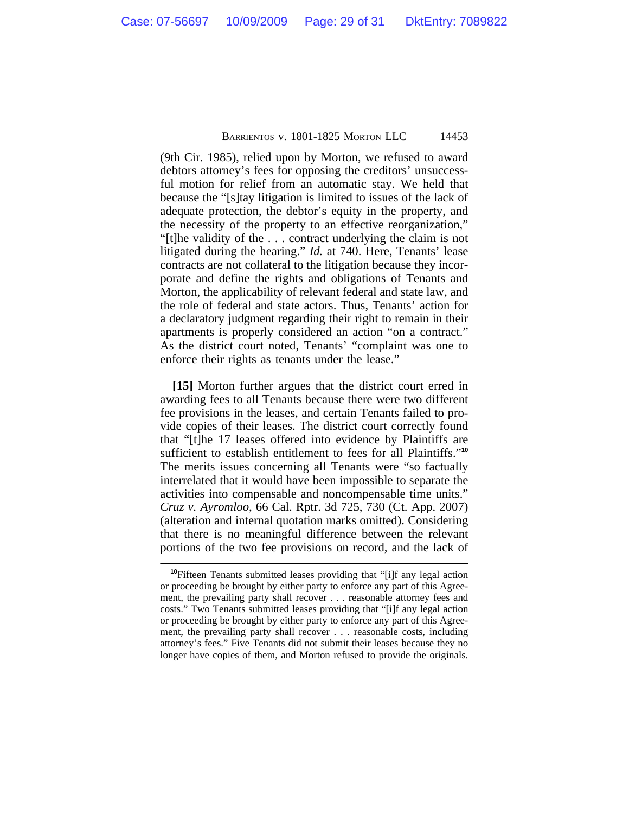(9th Cir. 1985), relied upon by Morton, we refused to award debtors attorney's fees for opposing the creditors' unsuccessful motion for relief from an automatic stay. We held that because the "[s]tay litigation is limited to issues of the lack of adequate protection, the debtor's equity in the property, and the necessity of the property to an effective reorganization," "[t]he validity of the . . . contract underlying the claim is not litigated during the hearing." *Id.* at 740. Here, Tenants' lease contracts are not collateral to the litigation because they incorporate and define the rights and obligations of Tenants and Morton, the applicability of relevant federal and state law, and the role of federal and state actors. Thus, Tenants' action for a declaratory judgment regarding their right to remain in their apartments is properly considered an action "on a contract." As the district court noted, Tenants' "complaint was one to enforce their rights as tenants under the lease."

**[15]** Morton further argues that the district court erred in awarding fees to all Tenants because there were two different fee provisions in the leases, and certain Tenants failed to provide copies of their leases. The district court correctly found that "[t]he 17 leases offered into evidence by Plaintiffs are sufficient to establish entitlement to fees for all Plaintiffs." **10** The merits issues concerning all Tenants were "so factually interrelated that it would have been impossible to separate the activities into compensable and noncompensable time units." *Cruz v. Ayromloo*, 66 Cal. Rptr. 3d 725, 730 (Ct. App. 2007) (alteration and internal quotation marks omitted). Considering that there is no meaningful difference between the relevant portions of the two fee provisions on record, and the lack of

**<sup>10</sup>**Fifteen Tenants submitted leases providing that "[i]f any legal action or proceeding be brought by either party to enforce any part of this Agreement, the prevailing party shall recover . . . reasonable attorney fees and costs." Two Tenants submitted leases providing that "[i]f any legal action or proceeding be brought by either party to enforce any part of this Agreement, the prevailing party shall recover . . . reasonable costs, including attorney's fees." Five Tenants did not submit their leases because they no longer have copies of them, and Morton refused to provide the originals.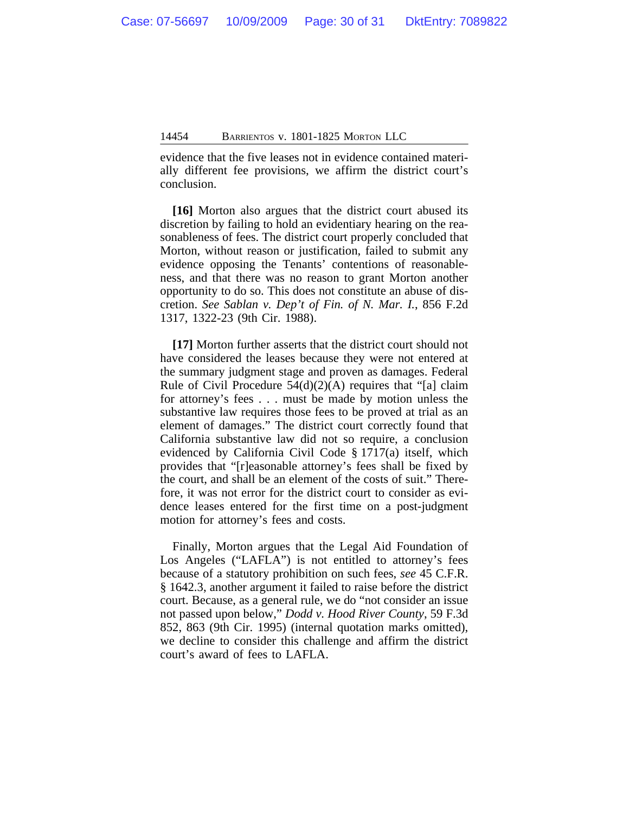evidence that the five leases not in evidence contained materially different fee provisions, we affirm the district court's conclusion.

**[16]** Morton also argues that the district court abused its discretion by failing to hold an evidentiary hearing on the reasonableness of fees. The district court properly concluded that Morton, without reason or justification, failed to submit any evidence opposing the Tenants' contentions of reasonableness, and that there was no reason to grant Morton another opportunity to do so. This does not constitute an abuse of discretion. *See Sablan v. Dep't of Fin. of N. Mar. I.*, 856 F.2d 1317, 1322-23 (9th Cir. 1988).

**[17]** Morton further asserts that the district court should not have considered the leases because they were not entered at the summary judgment stage and proven as damages. Federal Rule of Civil Procedure  $54(d)(2)(A)$  requires that "[a] claim for attorney's fees . . . must be made by motion unless the substantive law requires those fees to be proved at trial as an element of damages." The district court correctly found that California substantive law did not so require, a conclusion evidenced by California Civil Code § 1717(a) itself, which provides that "[r]easonable attorney's fees shall be fixed by the court, and shall be an element of the costs of suit." Therefore, it was not error for the district court to consider as evidence leases entered for the first time on a post-judgment motion for attorney's fees and costs.

Finally, Morton argues that the Legal Aid Foundation of Los Angeles ("LAFLA") is not entitled to attorney's fees because of a statutory prohibition on such fees, *see* 45 C.F.R. § 1642.3, another argument it failed to raise before the district court. Because, as a general rule, we do "not consider an issue not passed upon below," *Dodd v. Hood River County*, 59 F.3d 852, 863 (9th Cir. 1995) (internal quotation marks omitted), we decline to consider this challenge and affirm the district court's award of fees to LAFLA.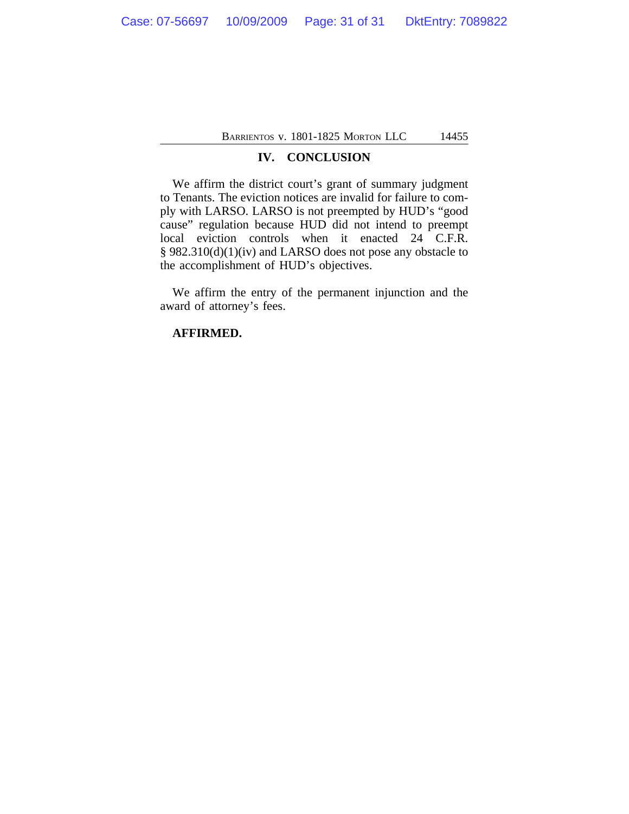#### **IV. CONCLUSION**

We affirm the district court's grant of summary judgment to Tenants. The eviction notices are invalid for failure to comply with LARSO. LARSO is not preempted by HUD's "good cause" regulation because HUD did not intend to preempt local eviction controls when it enacted 24 C.F.R. § 982.310(d)(1)(iv) and LARSO does not pose any obstacle to the accomplishment of HUD's objectives.

We affirm the entry of the permanent injunction and the award of attorney's fees.

#### **AFFIRMED.**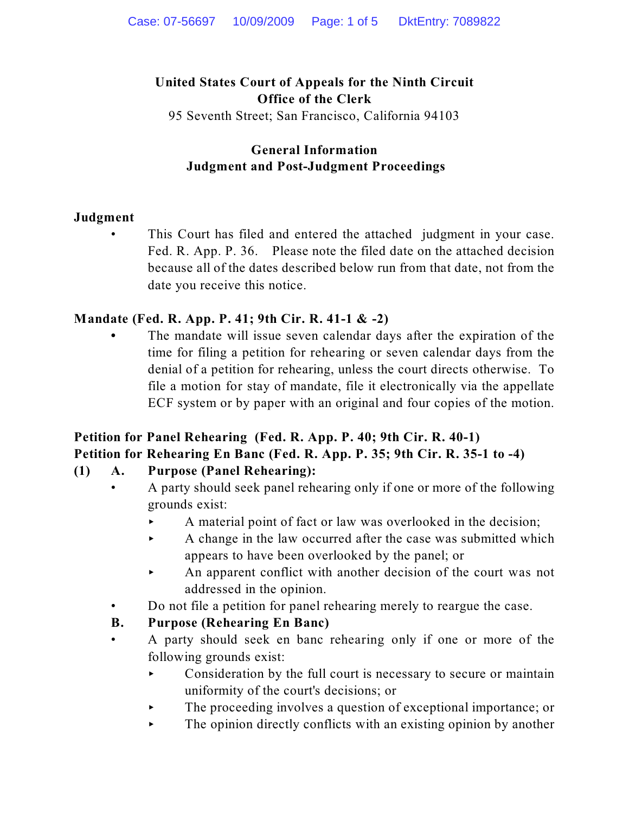# **United States Court of Appeals for the Ninth Circuit Office of the Clerk**

95 Seventh Street; San Francisco, California 94103

# **General Information Judgment and Post-Judgment Proceedings**

### **Judgment**

This Court has filed and entered the attached judgment in your case. Fed. R. App. P. 36. Please note the filed date on the attached decision because all of the dates described below run from that date, not from the date you receive this notice.

### **Mandate (Fed. R. App. P. 41; 9th Cir. R. 41-1 & -2)**

**•** The mandate will issue seven calendar days after the expiration of the time for filing a petition for rehearing or seven calendar days from the denial of a petition for rehearing, unless the court directs otherwise. To file a motion for stay of mandate, file it electronically via the appellate ECF system or by paper with an original and four copies of the motion.

# **Petition for Panel Rehearing (Fed. R. App. P. 40; 9th Cir. R. 40-1) Petition for Rehearing En Banc (Fed. R. App. P. 35; 9th Cir. R. 35-1 to -4)**

# **(1) A. Purpose (Panel Rehearing):**

- A party should seek panel rehearing only if one or more of the following grounds exist:
	- < A material point of fact or law was overlooked in the decision;
	- $\blacktriangleright$  A change in the law occurred after the case was submitted which appears to have been overlooked by the panel; or
	- < An apparent conflict with another decision of the court was not addressed in the opinion.
- Do not file a petition for panel rehearing merely to reargue the case.

# **B. Purpose (Rehearing En Banc)**

- A party should seek en banc rehearing only if one or more of the following grounds exist:
	- $\triangleright$  Consideration by the full court is necessary to secure or maintain uniformity of the court's decisions; or
	- The proceeding involves a question of exceptional importance; or
	- $\blacktriangleright$  The opinion directly conflicts with an existing opinion by another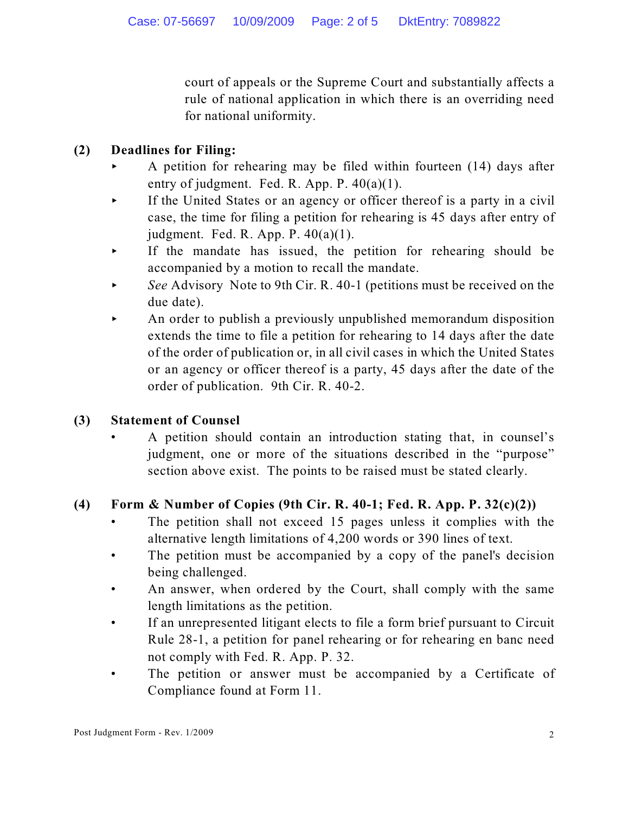court of appeals or the Supreme Court and substantially affects a rule of national application in which there is an overriding need for national uniformity.

# **(2) Deadlines for Filing:**

- < A petition for rehearing may be filed within fourteen (14) days after entry of judgment. Fed. R. App. P. 40(a)(1).
- $\triangleright$  If the United States or an agency or officer thereof is a party in a civil case, the time for filing a petition for rehearing is 45 days after entry of judgment. Fed. R. App. P.  $40(a)(1)$ .
- < If the mandate has issued, the petition for rehearing should be accompanied by a motion to recall the mandate.
- See Advisory Note to 9th Cir. R. 40-1 (petitions must be received on the due date).
- $\blacktriangleright$  An order to publish a previously unpublished memorandum disposition extends the time to file a petition for rehearing to 14 days after the date of the order of publication or, in all civil cases in which the United States or an agency or officer thereof is a party, 45 days after the date of the order of publication. 9th Cir. R. 40-2.

# **(3) Statement of Counsel**

• A petition should contain an introduction stating that, in counsel's judgment, one or more of the situations described in the "purpose" section above exist. The points to be raised must be stated clearly.

# **(4) Form & Number of Copies (9th Cir. R. 40-1; Fed. R. App. P. 32(c)(2))**

- The petition shall not exceed 15 pages unless it complies with the alternative length limitations of 4,200 words or 390 lines of text.
- The petition must be accompanied by a copy of the panel's decision being challenged.
- An answer, when ordered by the Court, shall comply with the same length limitations as the petition.
- If an unrepresented litigant elects to file a form brief pursuant to Circuit Rule 28-1, a petition for panel rehearing or for rehearing en banc need not comply with Fed. R. App. P. 32.
- The petition or answer must be accompanied by a Certificate of Compliance found at Form 11.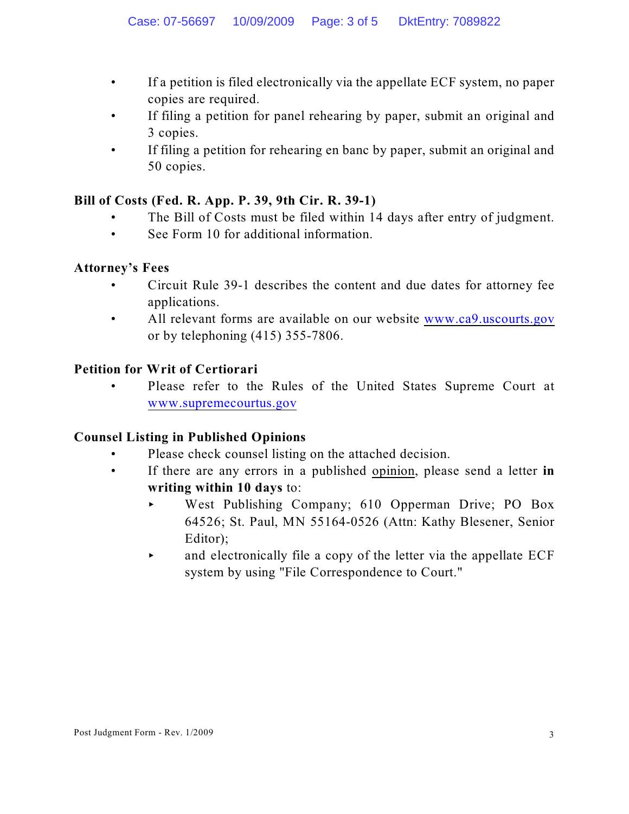- If a petition is filed electronically via the appellate ECF system, no paper copies are required.
- If filing a petition for panel rehearing by paper, submit an original and 3 copies.
- If filing a petition for rehearing en banc by paper, submit an original and 50 copies.

### **Bill of Costs (Fed. R. App. P. 39, 9th Cir. R. 39-1)**

- The Bill of Costs must be filed within 14 days after entry of judgment.
- See Form 10 for additional information.

### **Attorney's Fees**

- Circuit Rule 39-1 describes the content and due dates for attorney fee applications.
- All relevant forms are available on our website [www.ca9.uscourts.gov](http://www.ca9.uscourts.gov) or by telephoning (415) 355-7806.

### **Petition for Writ of Certiorari**

• Please refer to the Rules of the United States Supreme Court at [www.supremecourtus.gov](http://www.supremecourtus.gov)

# **Counsel Listing in Published Opinions**

- Please check counsel listing on the attached decision.
- If there are any errors in a published opinion, please send a letter **in writing within 10 days** to:
	- < West Publishing Company; 610 Opperman Drive; PO Box 64526; St. Paul, MN 55164-0526 (Attn: Kathy Blesener, Senior Editor);
	- $\triangleright$  and electronically file a copy of the letter via the appellate ECF system by using "File Correspondence to Court."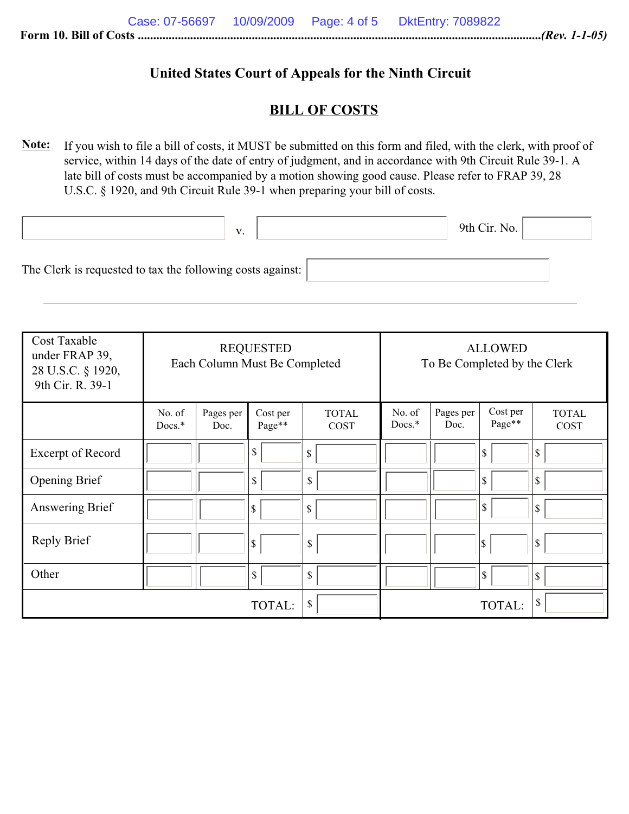# **United States Court of Appeals for the Ninth Circuit**

### **BILL OF COSTS**

**Note:** If you wish to file a bill of costs, it MUST be submitted on this form and filed, with the clerk, with proof of service, within 14 days of the date of entry of judgment, and in accordance with 9th Circuit Rule 39-1. A late bill of costs must be accompanied by a motion showing good cause. Please refer to FRAP 39, 28 U.S.C. § 1920, and 9th Circuit Rule 39-1 when preparing your bill of costs.

|                                                            | V. | 9th Cir. No. $\vert$ |  |
|------------------------------------------------------------|----|----------------------|--|
| The Clerk is requested to tax the following costs against: |    |                      |  |

| <b>Cost Taxable</b><br>under FRAP 39,<br>28 U.S.C. § 1920,<br>9th Cir. R. 39-1 | <b>REQUESTED</b><br>Each Column Must Be Completed |                   | <b>ALLOWED</b><br>To Be Completed by the Clerk |                      |                    |                   |                    |                      |
|--------------------------------------------------------------------------------|---------------------------------------------------|-------------------|------------------------------------------------|----------------------|--------------------|-------------------|--------------------|----------------------|
|                                                                                | No. of<br>$Docs.*$                                | Pages per<br>Doc. | Cost per<br>Page**                             | <b>TOTAL</b><br>COST | No. of<br>$Docs.*$ | Pages per<br>Doc. | Cost per<br>Page** | <b>TOTAL</b><br>COST |
| <b>Excerpt of Record</b>                                                       |                                                   |                   | $\mathbb{S}$                                   | \$                   |                    |                   | 8                  | \$                   |
| <b>Opening Brief</b>                                                           |                                                   |                   | $\mathbb{S}$                                   | $\mathbb{S}$         |                    |                   | $\mathbb{S}$       | \$                   |
| Answering Brief                                                                |                                                   |                   | \$                                             | \$                   |                    |                   | S.                 | \$                   |
| Reply Brief                                                                    |                                                   |                   | \$                                             | $\mathbb{S}$         |                    |                   | l\$                | \$                   |
| Other                                                                          |                                                   |                   | \$                                             | $\mathbb{S}$         |                    |                   | $\sqrt{3}$         | \$                   |
|                                                                                |                                                   |                   | TOTAL:                                         | \$                   |                    |                   | TOTAL:             | \$                   |